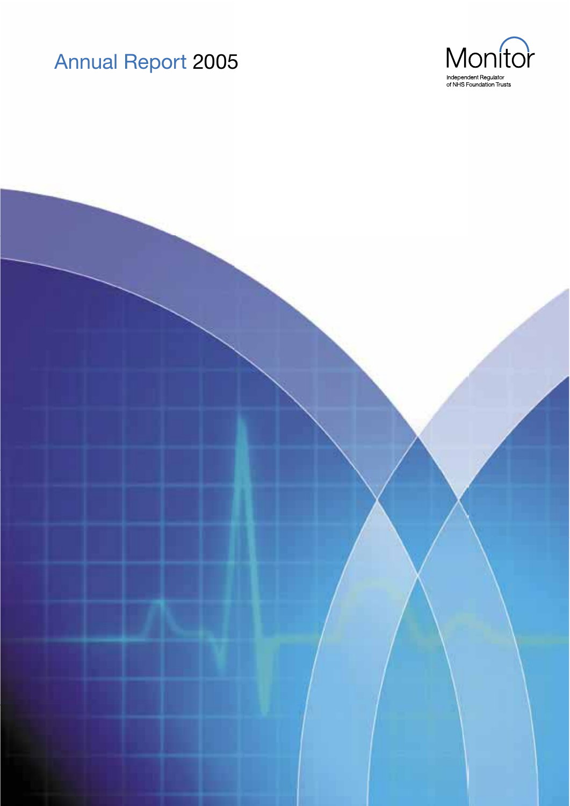



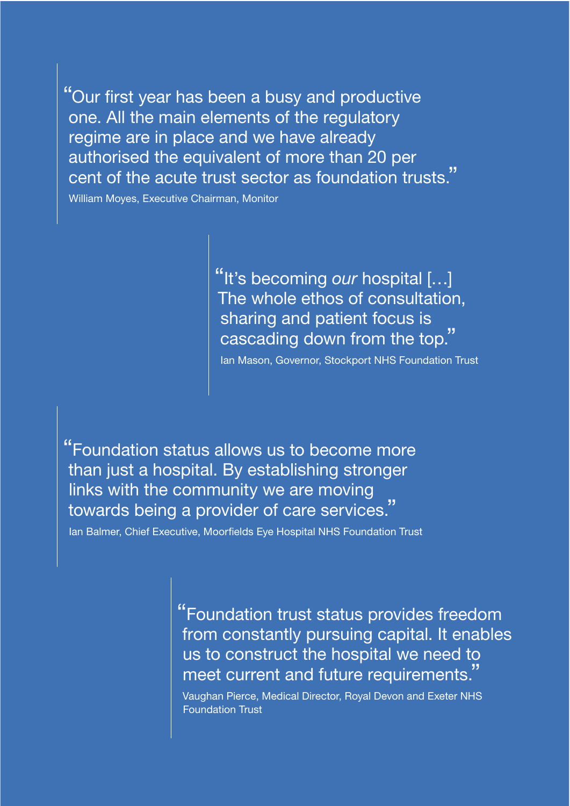"Our first year has been a busy and productive one. All the main elements of the regulatory regime are in place and we have already authorised the equivalent of more than 20 per cent of the acute trust sector as foundation trusts."

William Moyes, Executive Chairman, Monitor

"It's becoming our hospital [...] The whole ethos of consultation, sharing and patient focus is cascading down from the top.

Ian Mason, Governor, Stockport NHS Foundation Trust

"Foundation status allows us to become more than just a hospital. By establishing stronger links with the community we are moving towards being a provider of care services.

Ian Balmer, Chief Executive, Moorfields Eye Hospital NHS Foundation Trust

"Foundation trust status provides freedom from constantly pursuing capital. It enables us to construct the hospital we need to meet current and future requirements."

Vaughan Pierce, Medical Director, Royal Devon and Exeter NHS **Foundation Trust**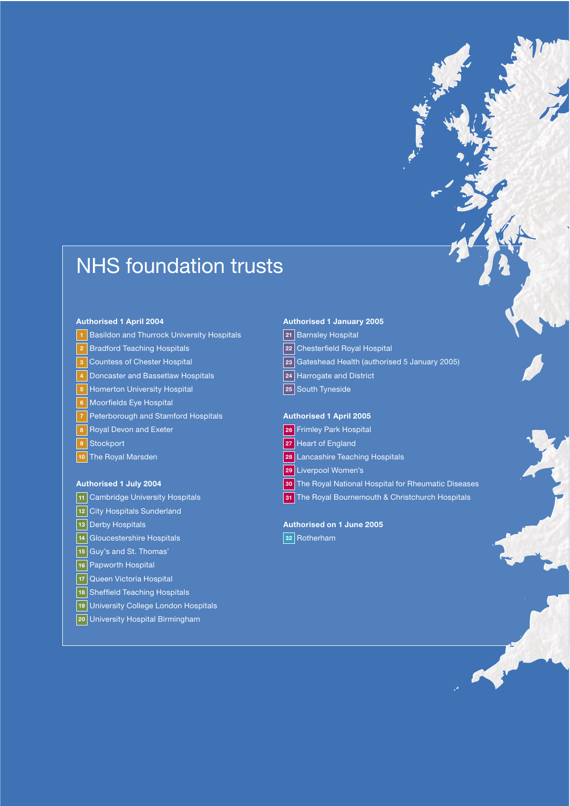# **NHS foundation trusts**

#### **Authorised 1 April 2004**

- 1 Basildon and Thurrock University Hospitals
- 2 Bradford Teaching Hospitals
- 3 Countess of Chester Hospital
- 4 Doncaster and Bassetlaw Hospitals
- 5 Homerton University Hospital
- 6 Moorfields Eye Hospital
- 7 Peterborough and Stamford Hospitals
- 8 Royal Devon and Exeter
- 9 Stockport
- $\overline{10}$ The Roval Marsden

### **Authorised 1 July 2004**

- 11 Cambridge University Hospitals
- 12 City Hospitals Sunderland
- 13 Derby Hospitals
- 14 Gloucestershire Hospitals
- [15] Guy's and St. Thomas'
- 16 Papworth Hospital
- 17 Queen Victoria Hospital
- 18 Sheffield Teaching Hospitals
- 19 University College London Hospitals
- 20 University Hospital Birmingham

### **Authorised 1 January 2005**

- 21 Barnsley Hospital
- 22 Chesterfield Royal Hospital
- 23 Gateshead Health (authorised 5 January 2005)
- 24 Harrogate and District
- 25 South Tyneside

## **Authorised 1 April 2005**

- 26 Frimley Park Hospital
- 27 Heart of England
- 28 Lancashire Teaching Hospitals
- 29 Liverpool Women's
- 30 The Royal National Hospital for Rheumatic Diseases
- 31 The Royal Bournemouth & Christchurch Hospitals

# Authorised on 1 June 2005

32 Rotherham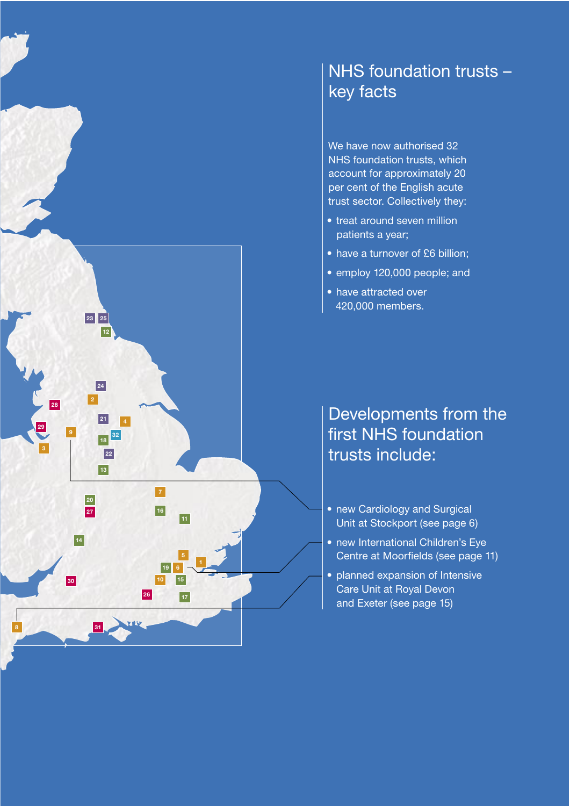

# NHS foundation trusts key facts

We have now authorised 32 NHS foundation trusts, which account for approximately 20 per cent of the English acute trust sector. Collectively they:

- treat around seven million patients a year;
- have a turnover of £6 billion;
- · employ 120,000 people; and
- have attracted over 420,000 members.

# Developments from the first NHS foundation trusts include:

- new Cardiology and Surgical Unit at Stockport (see page 6)
- new International Children's Eye Centre at Moorfields (see page 11)
- planned expansion of Intensive Care Unit at Royal Devon and Exeter (see page 15)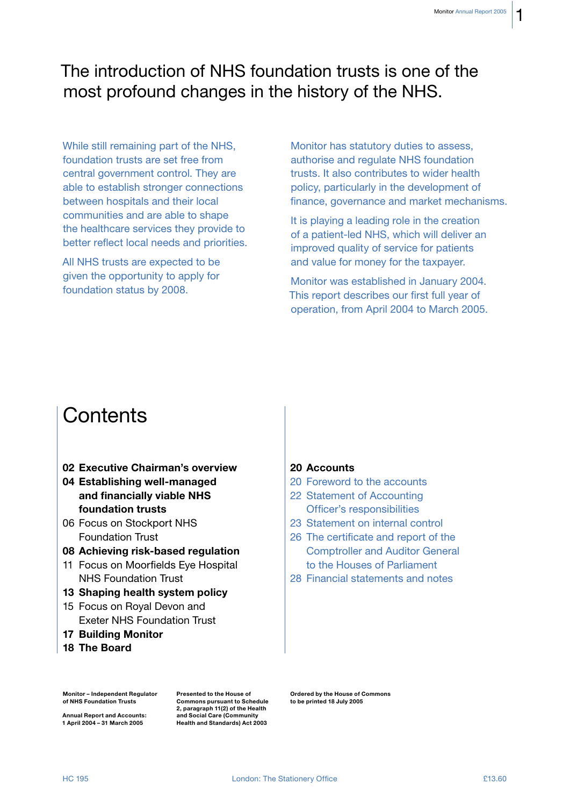1

# The introduction of NHS foundation trusts is one of the most profound changes in the history of the NHS.

While still remaining part of the NHS. foundation trusts are set free from central government control. They are able to establish stronger connections between hospitals and their local communities and are able to shape the healthcare services they provide to better reflect local needs and priorities.

All NHS trusts are expected to be given the opportunity to apply for foundation status by 2008.

Monitor has statutory duties to assess, authorise and regulate NHS foundation trusts. It also contributes to wider health policy, particularly in the development of finance, governance and market mechanisms.

It is playing a leading role in the creation of a patient-led NHS, which will deliver an improved quality of service for patients and value for money for the taxpayer.

Monitor was established in January 2004. This report describes our first full year of operation, from April 2004 to March 2005.

# Contents

- 02 Executive Chairman's overview
- 04 Establishing well-managed and financially viable NHS foundation trusts
- 06 Focus on Stockport NHS **Foundation Trust**
- 08 Achieving risk-based regulation
- 11 Focus on Moorfields Eye Hospital **NHS Foundation Trust**
- 13 Shaping health system policy
- 15 Focus on Royal Devon and **Exeter NHS Foundation Trust**
- **17 Building Monitor**
- 18 The Board

# 20 Accounts

- 20 Eoreword to the accounts
- 22 Statement of Accounting Officer's responsibilities
- 23 Statement on internal control
- 26 The certificate and report of the **Comptroller and Auditor General** to the Houses of Parliament
- 28 Financial statements and notes

**Monitor - Independent Requiator** of NHS Foundation Trusts

**Annual Report and Accounts:** 1 April 2004 - 31 March 2005

Presented to the House of **Commons pursuant to Schedule** 2, paragraph 11(2) of the Health and Social Care (Community Health and Standards) Act 2003

Ordered by the House of Commons to be printed 18 July 2005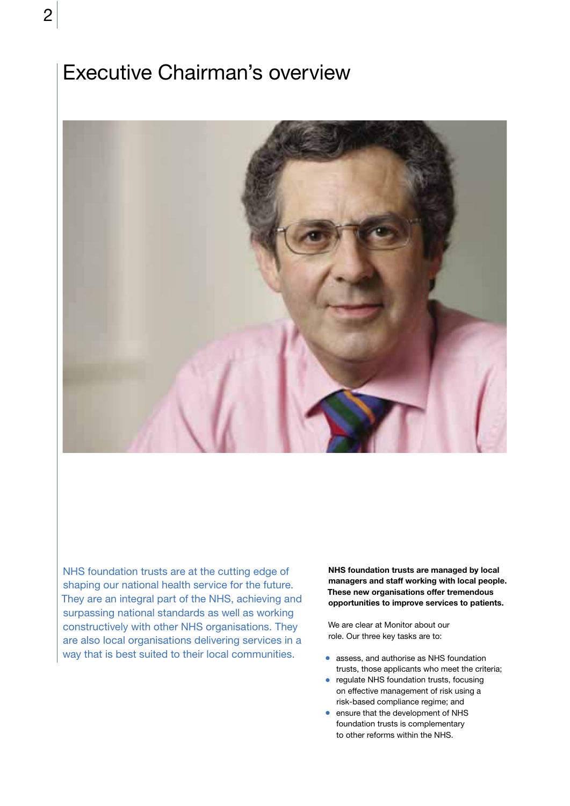# **Executive Chairman's overview**



NHS foundation trusts are at the cutting edge of shaping our national health service for the future. They are an integral part of the NHS, achieving and surpassing national standards as well as working constructively with other NHS organisations. They are also local organisations delivering services in a way that is best suited to their local communities.

NHS foundation trusts are managed by local managers and staff working with local people. These new organisations offer tremendous opportunities to improve services to patients.

We are clear at Monitor about our role. Our three key tasks are to:

- assess, and authorise as NHS foundation trusts, those applicants who meet the criteria;
- regulate NHS foundation trusts, focusing on effective management of risk using a risk-based compliance regime; and
- ensure that the development of NHS foundation trusts is complementary to other reforms within the NHS.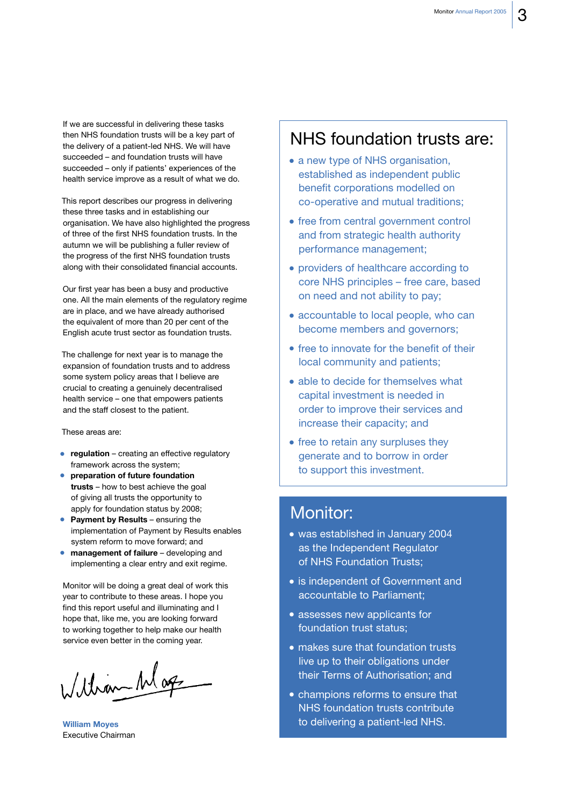If we are successful in delivering these tasks then NHS foundation trusts will be a key part of the delivery of a patient-led NHS. We will have succeeded - and foundation trusts will have succeeded - only if patients' experiences of the health service improve as a result of what we do.

This report describes our progress in delivering these three tasks and in establishing our organisation. We have also highlighted the progress of three of the first NHS foundation trusts. In the autumn we will be publishing a fuller review of the progress of the first NHS foundation trusts along with their consolidated financial accounts.

Our first year has been a busy and productive one. All the main elements of the regulatory regime are in place, and we have already authorised the equivalent of more than 20 per cent of the English acute trust sector as foundation trusts.

The challenge for next year is to manage the expansion of foundation trusts and to address some system policy areas that I believe are crucial to creating a genuinely decentralised health service - one that empowers patients and the staff closest to the patient.

#### These areas are:

- regulation creating an effective regulatory framework across the system;
- preparation of future foundation trusts - how to best achieve the goal of giving all trusts the opportunity to apply for foundation status by 2008;
- Payment by Results ensuring the implementation of Payment by Results enables system reform to move forward; and
- management of failure developing and implementing a clear entry and exit regime.

Monitor will be doing a great deal of work this vear to contribute to these areas. I hope you find this report useful and illuminating and I hope that, like me, you are looking forward to working together to help make our health service even better in the coming year.

William Mag

**William Moyes Executive Chairman** 

# NHS foundation trusts are:

- a new type of NHS organisation, established as independent public benefit corporations modelled on co-operative and mutual traditions;
- free from central government control and from strategic health authority performance management;
- providers of healthcare according to core NHS principles - free care, based on need and not ability to pay;
- accountable to local people, who can become members and governors;
- free to innovate for the benefit of their local community and patients;
- able to decide for themselves what capital investment is needed in order to improve their services and increase their capacity; and
- free to retain any surpluses they generate and to borrow in order to support this investment.

# **Monitor:**

- was established in January 2004 as the Independent Regulator of NHS Foundation Trusts:
- is independent of Government and accountable to Parliament;
- assesses new applicants for foundation trust status:
- makes sure that foundation trusts live up to their obligations under their Terms of Authorisation; and
- champions reforms to ensure that NHS foundation trusts contribute to delivering a patient-led NHS.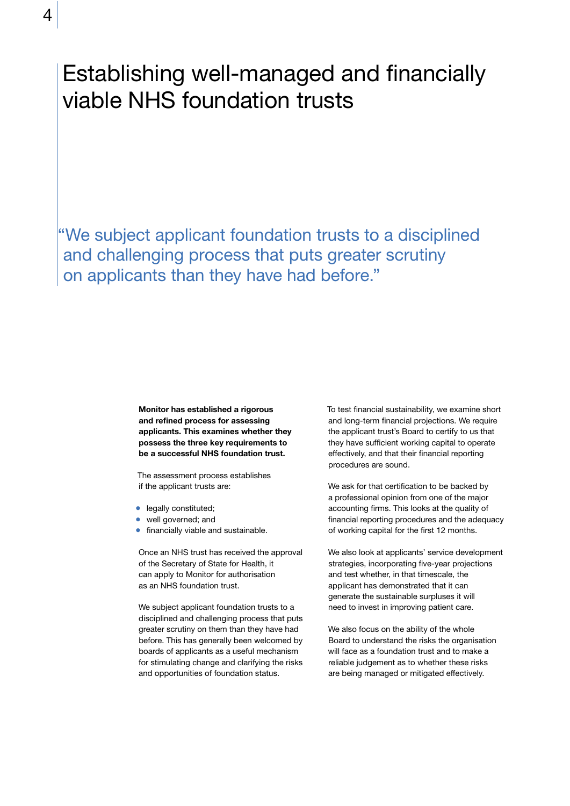4

# Establishing well-managed and financially viable NHS foundation trusts

"We subject applicant foundation trusts to a disciplined and challenging process that puts greater scrutiny on applicants than they have had before."

> Monitor has established a rigorous and refined process for assessing applicants. This examines whether they possess the three key requirements to be a successful NHS foundation trust.

The assessment process establishes if the applicant trusts are:

- · legally constituted;
- well governed; and
- financially viable and sustainable.

Once an NHS trust has received the approval of the Secretary of State for Health, it can apply to Monitor for authorisation as an NHS foundation trust.

We subject applicant foundation trusts to a disciplined and challenging process that puts greater scrutiny on them than they have had before. This has generally been welcomed by boards of applicants as a useful mechanism for stimulating change and clarifying the risks and opportunities of foundation status.

To test financial sustainability, we examine short and long-term financial projections. We require the applicant trust's Board to certify to us that they have sufficient working capital to operate effectively, and that their financial reporting procedures are sound.

We ask for that certification to be backed by a professional opinion from one of the major accounting firms. This looks at the quality of financial reporting procedures and the adequacy of working capital for the first 12 months.

We also look at applicants' service development strategies, incorporating five-year projections and test whether, in that timescale, the applicant has demonstrated that it can generate the sustainable surpluses it will need to invest in improving patient care.

We also focus on the ability of the whole Board to understand the risks the organisation will face as a foundation trust and to make a reliable judgement as to whether these risks are being managed or mitigated effectively.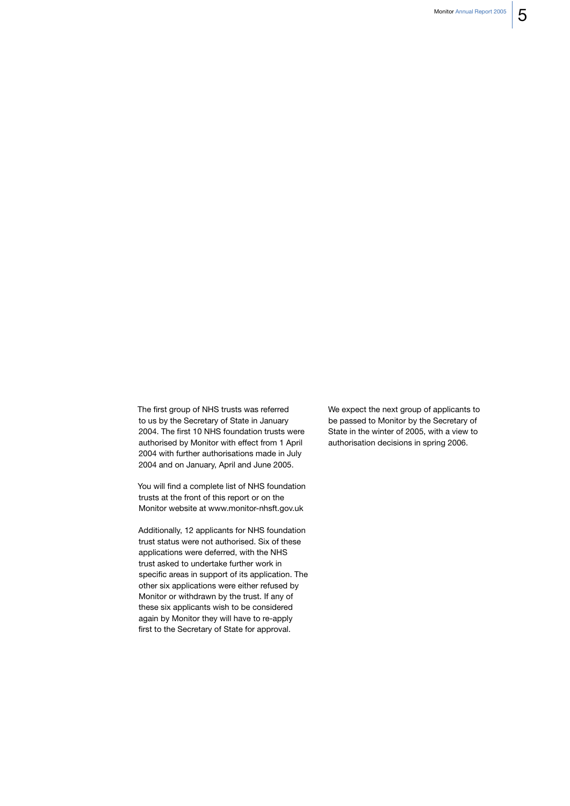The first group of NHS trusts was referred to us by the Secretary of State in January 2004. The first 10 NHS foundation trusts were authorised by Monitor with effect from 1 April 2004 with further authorisations made in July 2004 and on January, April and June 2005.

You will find a complete list of NHS foundation trusts at the front of this report or on the Monitor website at www.monitor-nhsft.gov.uk

Additionally, 12 applicants for NHS foundation trust status were not authorised. Six of these applications were deferred, with the NHS trust asked to undertake further work in specific areas in support of its application. The other six applications were either refused by Monitor or withdrawn by the trust. If any of these six applicants wish to be considered again by Monitor they will have to re-apply first to the Secretary of State for approval.

We expect the next group of applicants to be passed to Monitor by the Secretary of State in the winter of 2005, with a view to authorisation decisions in spring 2006.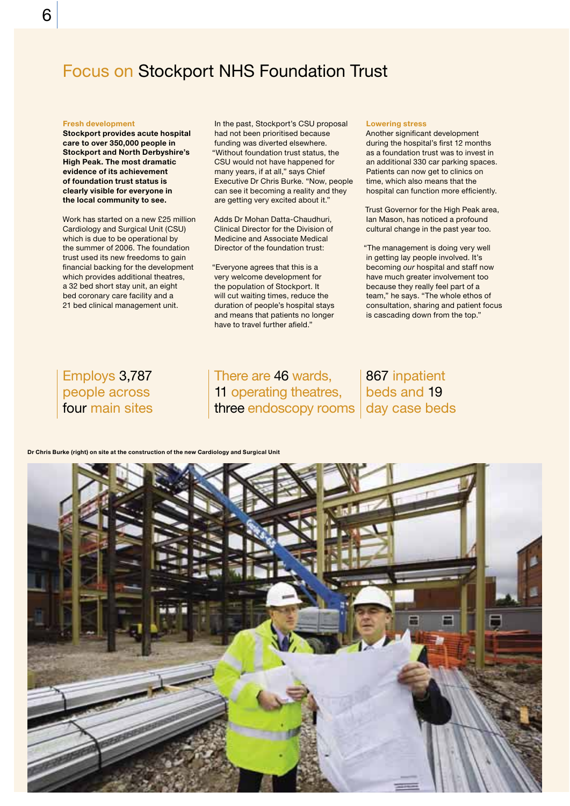# **Focus on Stockport NHS Foundation Trust**

#### **Fresh development**

Stockport provides acute hospital care to over 350,000 people in **Stockport and North Derbyshire's High Peak. The most dramatic** evidence of its achievement of foundation trust status is clearly visible for everyone in the local community to see.

Work has started on a new £25 million Cardiology and Surgical Unit (CSU) which is due to be operational by the summer of 2006. The foundation trust used its new freedoms to gain financial backing for the development which provides additional theatres, a 32 bed short stay unit, an eight bed coronary care facility and a 21 bed clinical management unit.

In the past, Stockport's CSU proposal had not been prioritised because funding was diverted elsewhere. "Without foundation trust status, the CSU would not have happened for many years, if at all," says Chief Executive Dr Chris Burke. "Now, people can see it becoming a reality and they are getting very excited about it."

Adds Dr Mohan Datta-Chaudhuri, Clinical Director for the Division of Medicine and Associate Medical Director of the foundation trust:

"Everyone agrees that this is a very welcome development for the population of Stockport. It will cut waiting times, reduce the duration of people's hospital stays and means that patients no longer have to travel further afield."

#### **Lowering stress**

Another significant development during the hospital's first 12 months as a foundation trust was to invest in an additional 330 car parking spaces. Patients can now get to clinics on time, which also means that the hospital can function more efficiently.

Trust Governor for the High Peak area. Ian Mason, has noticed a profound cultural change in the past year too.

"The management is doing very well in getting lay people involved. It's becoming our hospital and staff now have much greater involvement too because they really feel part of a team," he says. "The whole ethos of consultation, sharing and patient focus is cascading down from the top."

# Employs 3,787 people across four main sites

There are 46 wards. 11 operating theatres, three endoscopy rooms day case beds

# 867 inpatient beds and 19

Dr Chris Burke (right) on site at the construction of the new Cardiology and Surgical Unit

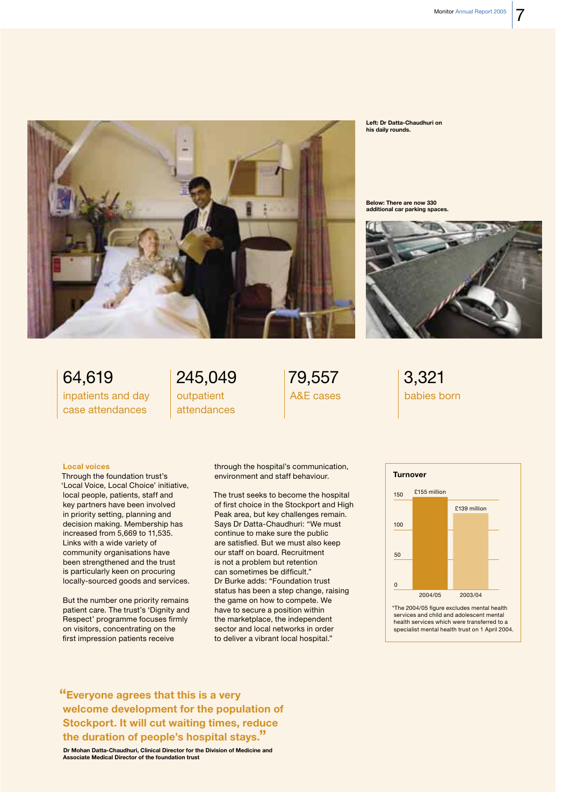

Left: Dr Datta-Chaudhuri on his daily rounds.

Below: There are now 330 additional car parking spaces



64,619 inpatients and day case attendances

# 245,049 outpatient attendances

# 79,557 A&E cases

3,321 babies born

#### **Local voices**

Through the foundation trust's 'Local Voice, Local Choice' initiative, local people, patients, staff and key partners have been involved in priority setting, planning and decision making. Membership has increased from  $5,669$  to 11,535. Links with a wide variety of community organisations have been strengthened and the trust is particularly keen on procuring locally-sourced goods and services.

But the number one priority remains patient care. The trust's 'Dignity and Respect' programme focuses firmly on visitors, concentrating on the first impression patients receive

through the hospital's communication, environment and staff behaviour.

The trust seeks to become the hospital of first choice in the Stockport and High Peak area, but key challenges remain. Says Dr Datta-Chaudhuri: "We must continue to make sure the public are satisfied. But we must also keep our staff on board. Recruitment is not a problem but retention can sometimes be difficult." Dr Burke adds: "Foundation trust status has been a step change, raising the game on how to compete. We have to secure a position within the marketplace, the independent sector and local networks in order to deliver a vibrant local hospital."



\*The 2004/05 figure excludes mental health services and child and adolescent mental health services which were transferred to a specialist mental health trust on 1 April 2004.

"Everyone agrees that this is a very welcome development for the population of **Stockport. It will cut waiting times, reduce** the duration of people's hospital stays."

Dr Mohan Datta-Chaudhuri, Clinical Director for the Division of Medicine and **Associate Medical Director of the foundation trust**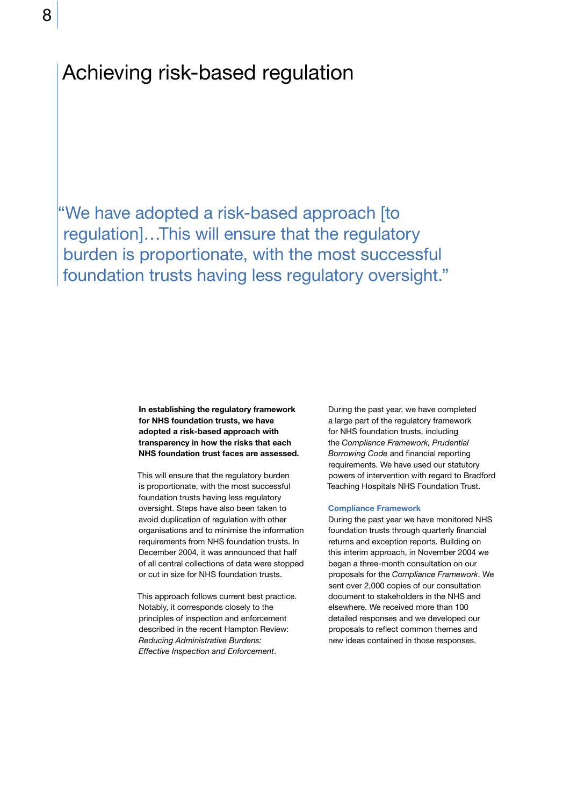# Achieving risk-based regulation

"We have adopted a risk-based approach [to regulation]...This will ensure that the regulatory burden is proportionate, with the most successful foundation trusts having less regulatory oversight."

> In establishing the regulatory framework for NHS foundation trusts, we have adopted a risk-based approach with transparency in how the risks that each NHS foundation trust faces are assessed.

This will ensure that the regulatory burden is proportionate, with the most successful foundation trusts having less regulatory oversight. Steps have also been taken to avoid duplication of regulation with other organisations and to minimise the information requirements from NHS foundation trusts. In December 2004, it was announced that half of all central collections of data were stopped or cut in size for NHS foundation trusts.

This approach follows current best practice. Notably, it corresponds closely to the principles of inspection and enforcement described in the recent Hampton Review: **Reducing Administrative Burdens:** Effective Inspection and Enforcement.

During the past year, we have completed a large part of the regulatory framework for NHS foundation trusts, including the Compliance Framework, Prudential Borrowing Code and financial reporting requirements. We have used our statutory powers of intervention with regard to Bradford Teaching Hospitals NHS Foundation Trust.

#### **Compliance Framework**

During the past year we have monitored NHS foundation trusts through quarterly financial returns and exception reports. Building on this interim approach, in November 2004 we began a three-month consultation on our proposals for the Compliance Framework. We sent over 2,000 copies of our consultation document to stakeholders in the NHS and elsewhere. We received more than 100 detailed responses and we developed our proposals to reflect common themes and new ideas contained in those responses.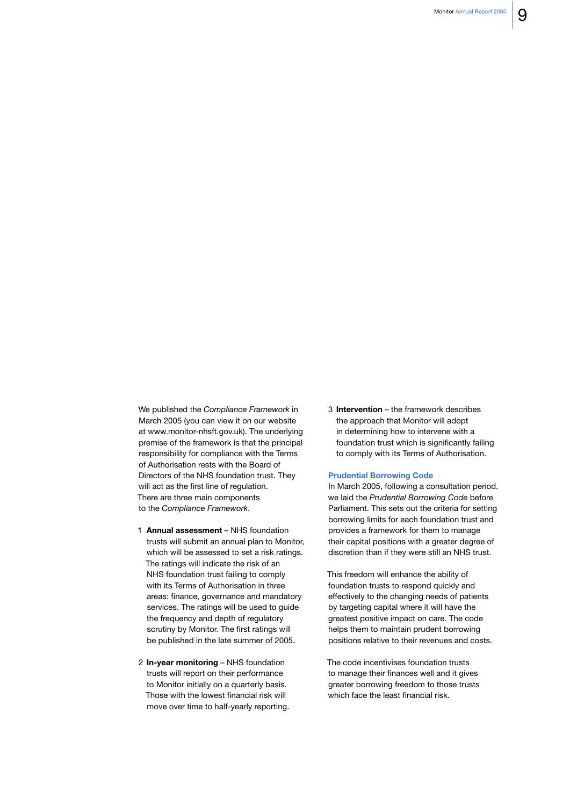We published the Compliance Framework in March 2005 (you can view it on our website at www.monitor-nhsft.gov.uk). The underlying premise of the framework is that the principal responsibility for compliance with the Terms of Authorisation rests with the Board of Directors of the NHS foundation trust. They will act as the first line of regulation. There are three main components to the Compliance Framework.

- 1 Annual assessment NHS foundation trusts will submit an annual plan to Monitor, which will be assessed to set a risk ratings. The ratings will indicate the risk of an NHS foundation trust failing to comply with its Terms of Authorisation in three areas: finance, governance and mandatory services. The ratings will be used to quide the frequency and depth of requlatory scrutiny by Monitor. The first ratings will be published in the late summer of 2005.
- 2 In-year monitoring NHS foundation trusts will report on their performance to Monitor initially on a quarterly basis. Those with the lowest financial risk will move over time to half-yearly reporting.

3 Intervention - the framework describes the approach that Monitor will adopt in determining how to intervene with a foundation trust which is significantly failing to comply with its Terms of Authorisation.

## **Prudential Borrowing Code**

In March 2005, following a consultation period, we laid the Prudential Borrowing Code before Parliament. This sets out the criteria for setting borrowing limits for each foundation trust and provides a framework for them to manage their capital positions with a greater degree of discretion than if they were still an NHS trust.

This freedom will enhance the ability of foundation trusts to respond quickly and effectively to the changing needs of patients by targeting capital where it will have the greatest positive impact on care. The code helps them to maintain prudent borrowing positions relative to their revenues and costs.

The code incentivises foundation trusts to manage their finances well and it gives greater borrowing freedom to those trusts which face the least financial risk.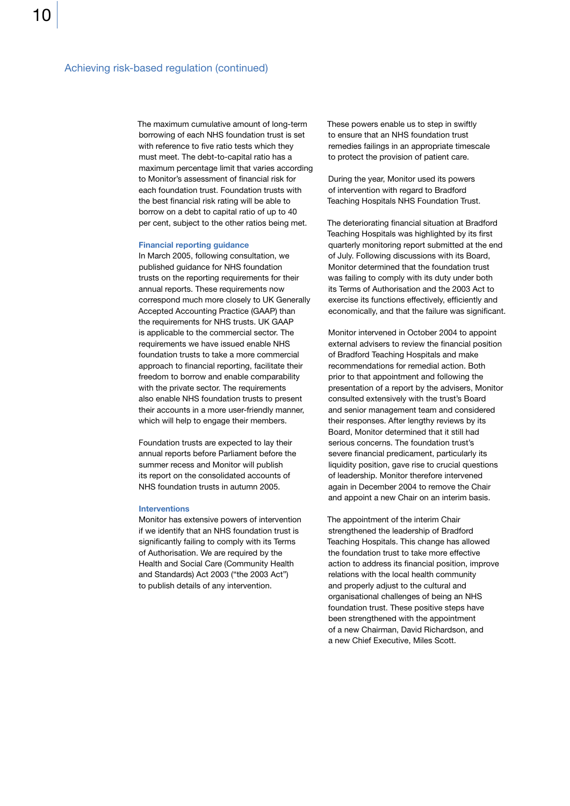The maximum cumulative amount of long-term borrowing of each NHS foundation trust is set with reference to five ratio tests which they must meet. The debt-to-capital ratio has a maximum percentage limit that varies according to Monitor's assessment of financial risk for each foundation trust. Foundation trusts with the best financial risk rating will be able to borrow on a debt to capital ratio of up to 40 per cent, subject to the other ratios being met.

#### **Financial reporting guidance**

In March 2005, following consultation, we published guidance for NHS foundation trusts on the reporting requirements for their annual reports. These requirements now correspond much more closely to UK Generally Accepted Accounting Practice (GAAP) than the requirements for NHS trusts. UK GAAP is applicable to the commercial sector. The requirements we have issued enable NHS foundation trusts to take a more commercial approach to financial reporting, facilitate their freedom to borrow and enable comparability with the private sector. The requirements also enable NHS foundation trusts to present their accounts in a more user-friendly manner, which will help to engage their members.

Foundation trusts are expected to lay their annual reports before Parliament before the summer recess and Monitor will publish its report on the consolidated accounts of NHS foundation trusts in autumn 2005.

### **Interventions**

Monitor has extensive powers of intervention if we identify that an NHS foundation trust is significantly failing to comply with its Terms of Authorisation. We are required by the Health and Social Care (Community Health and Standards) Act 2003 ("the 2003 Act") to publish details of any intervention.

These powers enable us to step in swiftly to ensure that an NHS foundation trust remedies failings in an appropriate timescale to protect the provision of patient care.

During the year, Monitor used its powers of intervention with regard to Bradford Teaching Hospitals NHS Foundation Trust.

The deteriorating financial situation at Bradford Teaching Hospitals was highlighted by its first quarterly monitoring report submitted at the end of July. Following discussions with its Board, Monitor determined that the foundation trust was failing to comply with its duty under both its Terms of Authorisation and the 2003 Act to exercise its functions effectively, efficiently and economically, and that the failure was significant.

Monitor intervened in October 2004 to appoint external advisers to review the financial position of Bradford Teaching Hospitals and make recommendations for remedial action. Both prior to that appointment and following the presentation of a report by the advisers, Monitor consulted extensively with the trust's Board and senior management team and considered their responses. After lengthy reviews by its Board, Monitor determined that it still had serious concerns. The foundation trust's severe financial predicament, particularly its liquidity position, gave rise to crucial questions of leadership. Monitor therefore intervened again in December 2004 to remove the Chair and appoint a new Chair on an interim basis.

The appointment of the interim Chair strengthened the leadership of Bradford Teaching Hospitals. This change has allowed the foundation trust to take more effective action to address its financial position, improve relations with the local health community and properly adjust to the cultural and organisational challenges of being an NHS foundation trust. These positive steps have been strengthened with the appointment of a new Chairman, David Richardson, and a new Chief Executive, Miles Scott.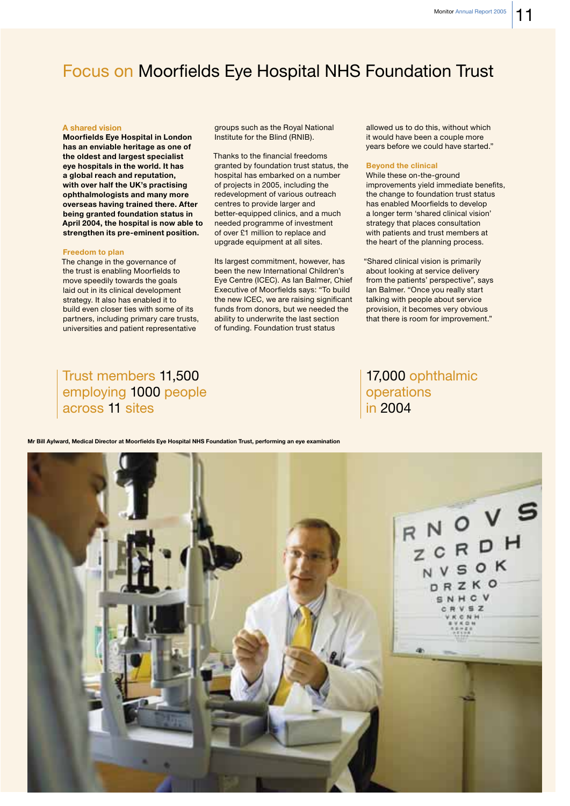# **Focus on Moorfields Eye Hospital NHS Foundation Trust**

#### A shared vision

**Moorfields Eye Hospital in London** has an enviable heritage as one of the oldest and largest specialist eye hospitals in the world. It has a global reach and reputation, with over half the UK's practising ophthalmologists and many more overseas having trained there. After being granted foundation status in April 2004, the hospital is now able to strengthen its pre-eminent position.

#### **Freedom to plan**

The change in the governance of the trust is enabling Moorfields to move speedily towards the goals laid out in its clinical development strategy. It also has enabled it to build even closer ties with some of its partners, including primary care trusts, universities and patient representative

groups such as the Roval National Institute for the Blind (RNIB).

Thanks to the financial freedoms granted by foundation trust status, the hospital has embarked on a number of projects in 2005, including the redevelopment of various outreach centres to provide larger and better-equipped clinics, and a much needed programme of investment of over £1 million to replace and upgrade equipment at all sites.

Its largest commitment, however, has been the new International Children's Eye Centre (ICEC). As Ian Balmer, Chief Executive of Moorfields says: "To build the new ICEC, we are raising significant funds from donors, but we needed the ability to underwrite the last section of funding. Foundation trust status

allowed us to do this without which it would have been a couple more years before we could have started."

#### **Beyond the clinical**

While these on-the-ground improvements yield immediate benefits, the change to foundation trust status has enabled Moorfields to develop a longer term 'shared clinical vision' strategy that places consultation with patients and trust members at the heart of the planning process.

"Shared clinical vision is primarily about looking at service delivery from the patients' perspective", says lan Balmer. "Once you really start talking with people about service provision, it becomes very obvious that there is room for improvement."

# Trust members 11,500 employing 1000 people across 11 sites

# 17,000 ophthalmic operations in 2004

Mr Bill Avlward, Medical Director at Moorfields Eve Hospital NHS Foundation Trust, performing an eve examination

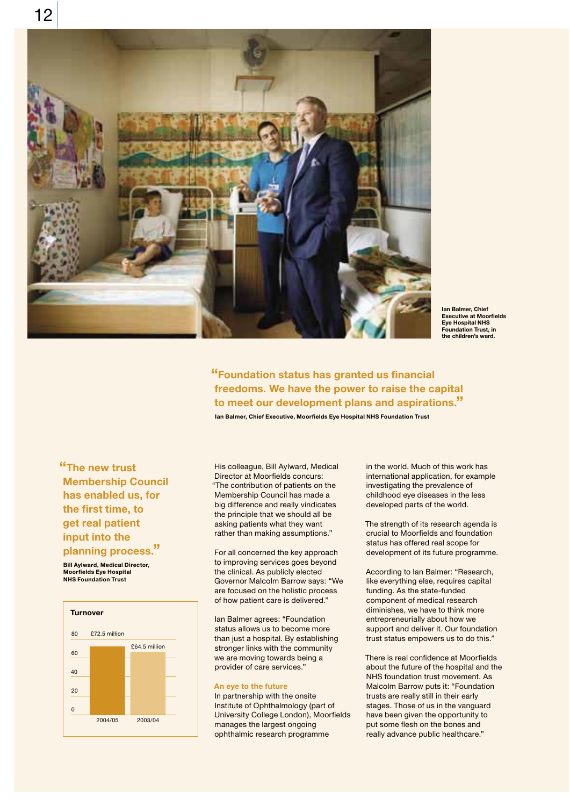

lan Balmer, Chief **Executive at Moorfields** Eye Hospital NHS **Foundation Trust. in** the children's ward

"Foundation status has granted us financial freedoms. We have the power to raise the capital to meet our development plans and aspirations."

Ian Balmer, Chief Executive, Moorfields Eye Hospital NHS Foundation Trust

"The new trust **Membership Council** has enabled us, for the first time, to get real patient input into the planning process."

**Bill Aylward, Medical Director,** Moorfields Eye Hospital **NHS Foundation Trust** 



His colleague, Bill Aylward, Medical Director at Moorfields concurs: "The contribution of patients on the Membership Council has made a big difference and really vindicates the principle that we should all be asking patients what they want rather than making assumptions."

For all concerned the key approach to improving services goes beyond the clinical. As publicly elected Governor Malcolm Barrow says: "We are focused on the holistic process of how patient care is delivered."

Ian Balmer agrees: "Foundation status allows us to become more than just a hospital. By establishing stronger links with the community we are moving towards being a provider of care services."

## An eye to the future

In partnership with the onsite Institute of Ophthalmology (part of University College London), Moorfields manages the largest ongoing ophthalmic research programme

in the world. Much of this work has international application, for example investigating the prevalence of childhood eye diseases in the less developed parts of the world.

The strength of its research agenda is crucial to Moorfields and foundation status has offered real scope for development of its future programme.

According to Ian Balmer: "Research, like everything else, requires capital funding. As the state-funded component of medical research diminishes, we have to think more entrepreneurially about how we support and deliver it. Our foundation trust status empowers us to do this."

There is real confidence at Moorfields about the future of the hospital and the NHS foundation trust movement. As Malcolm Barrow puts it: "Foundation trusts are really still in their early stages. Those of us in the vanguard have been given the opportunity to put some flesh on the bones and really advance public healthcare."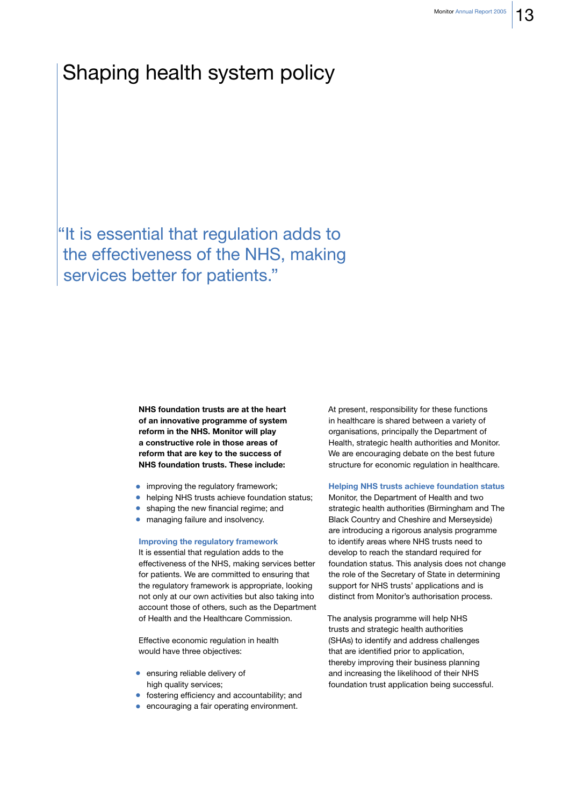# Shaping health system policy

"It is essential that regulation adds to the effectiveness of the NHS, making services better for patients."

> NHS foundation trusts are at the heart of an innovative programme of system reform in the NHS. Monitor will play a constructive role in those areas of reform that are key to the success of NHS foundation trusts. These include:

- improving the regulatory framework;
- helping NHS trusts achieve foundation status;
- shaping the new financial regime; and
- managing failure and insolvency.

#### **Improving the regulatory framework**

It is essential that regulation adds to the effectiveness of the NHS, making services better for patients. We are committed to ensuring that the regulatory framework is appropriate, looking not only at our own activities but also taking into account those of others, such as the Department of Health and the Healthcare Commission.

Effective economic regulation in health would have three objectives:

- ensuring reliable delivery of high quality services;
- fostering efficiency and accountability; and
- encouraging a fair operating environment.

At present, responsibility for these functions in healthcare is shared between a variety of organisations, principally the Department of Health, strategic health authorities and Monitor. We are encouraging debate on the best future structure for economic regulation in healthcare.

### **Helping NHS trusts achieve foundation status**

Monitor, the Department of Health and two strategic health authorities (Birmingham and The Black Country and Cheshire and Merseyside) are introducing a rigorous analysis programme to identify areas where NHS trusts need to develop to reach the standard required for foundation status. This analysis does not change the role of the Secretary of State in determining support for NHS trusts' applications and is distinct from Monitor's authorisation process.

The analysis programme will help NHS trusts and strategic health authorities (SHAs) to identify and address challenges that are identified prior to application, thereby improving their business planning and increasing the likelihood of their NHS foundation trust application being successful.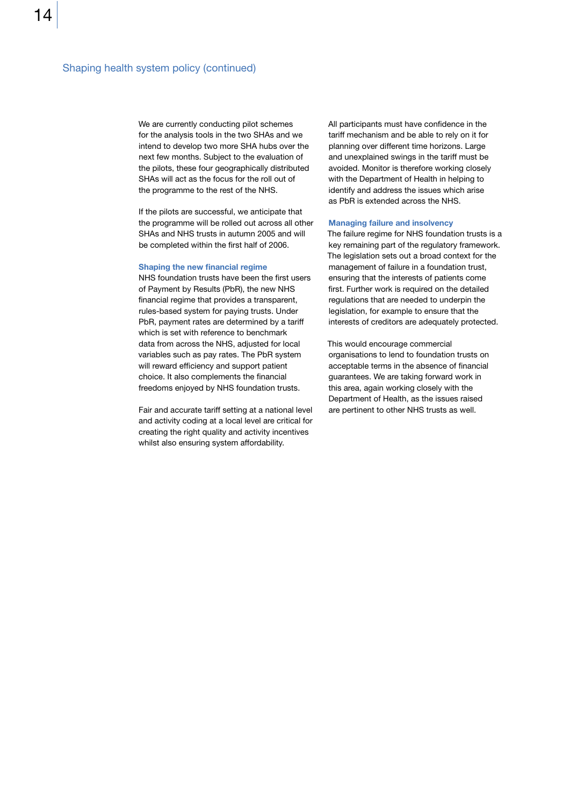We are currently conducting pilot schemes for the analysis tools in the two SHAs and we intend to develop two more SHA hubs over the next few months. Subject to the evaluation of the pilots, these four geographically distributed SHAs will act as the focus for the roll out of the programme to the rest of the NHS.

If the pilots are successful, we anticipate that the programme will be rolled out across all other SHAs and NHS trusts in autumn 2005 and will be completed within the first half of 2006.

#### Shaping the new financial regime

NHS foundation trusts have been the first users of Payment by Results (PbR), the new NHS financial regime that provides a transparent, rules-based system for paying trusts. Under PbR, payment rates are determined by a tariff which is set with reference to benchmark data from across the NHS, adjusted for local variables such as pay rates. The PbR system will reward efficiency and support patient choice. It also complements the financial freedoms enjoyed by NHS foundation trusts.

Fair and accurate tariff setting at a national level and activity coding at a local level are critical for creating the right quality and activity incentives whilst also ensuring system affordability.

All participants must have confidence in the tariff mechanism and be able to rely on it for planning over different time horizons. Large and unexplained swings in the tariff must be avoided. Monitor is therefore working closely with the Department of Health in helping to identify and address the issues which arise as PbR is extended across the NHS.

#### **Managing failure and insolvency**

The failure regime for NHS foundation trusts is a key remaining part of the regulatory framework. The legislation sets out a broad context for the management of failure in a foundation trust, ensuring that the interests of patients come first. Further work is required on the detailed regulations that are needed to underpin the legislation, for example to ensure that the interests of creditors are adequately protected.

This would encourage commercial organisations to lend to foundation trusts on acceptable terms in the absence of financial guarantees. We are taking forward work in this area, again working closely with the Department of Health, as the issues raised are pertinent to other NHS trusts as well.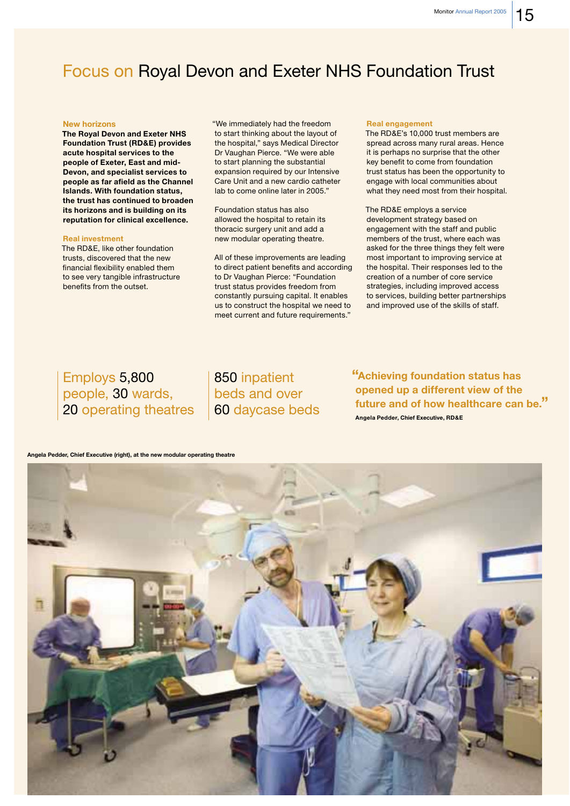# **Focus on Royal Devon and Exeter NHS Foundation Trust**

#### **New horizons**

The Royal Devon and Exeter NHS **Foundation Trust (RD&E) provides** acute hospital services to the people of Exeter, East and mid-Devon, and specialist services to people as far afield as the Channel Islands. With foundation status, the trust has continued to broaden its horizons and is building on its reputation for clinical excellence.

#### **Real investment**

The RD&E, like other foundation trusts, discovered that the new financial flexibility enabled them to see very tangible infrastructure benefits from the outset.

"We immediately had the freedom to start thinking about the layout of the hospital," says Medical Director Dr Vaughan Pierce. "We were able to start planning the substantial expansion required by our Intensive Care Unit and a new cardio catheter lab to come online later in 2005."

Foundation status has also allowed the hospital to retain its thoracic surgery unit and add a new modular operating theatre.

All of these improvements are leading to direct patient benefits and according to Dr Vaughan Pierce: "Foundation trust status provides freedom from constantly pursuing capital. It enables us to construct the hospital we need to meet current and future requirements."

#### **Real engagement**

The RD&E's 10,000 trust members are spread across many rural areas. Hence it is perhaps no surprise that the other key benefit to come from foundation trust status has been the opportunity to engage with local communities about what they need most from their hospital.

The RD&E employs a service development strategy based on engagement with the staff and public members of the trust, where each was asked for the three things they felt were most important to improving service at the hospital. Their responses led to the creation of a number of core service strategies, including improved access to services, building better partnerships and improved use of the skills of staff.

# Employs 5,800 people, 30 wards, 20 operating theatres

850 inpatient beds and over 60 daycase beds "Achieving foundation status has opened up a different view of the future and of how healthcare can be." Angela Pedder, Chief Executive, RD&E

Angela Pedder, Chief Executive (right), at the new modular operating theatre

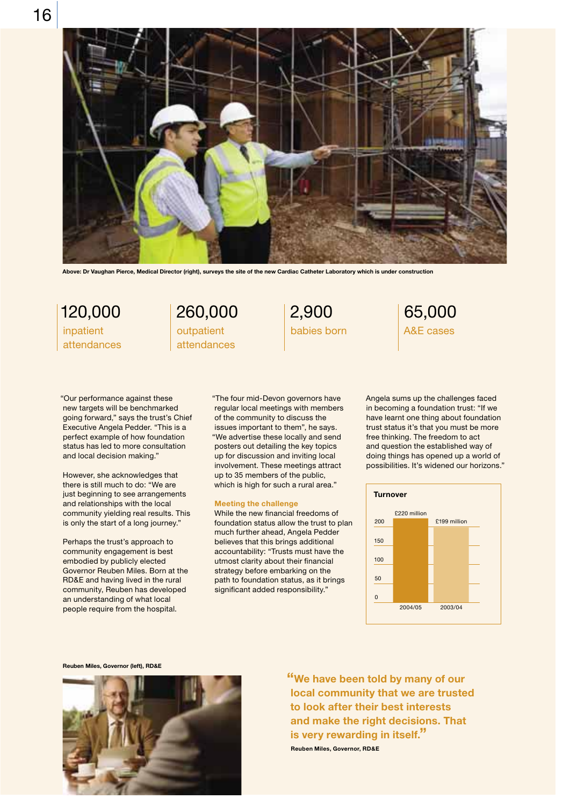

Above: Dr Vaughan Pierce, Medical Director (right), surveys the site of the new Cardiac Catheter Laboratory which is under construction

120,000 inpatient attendances 260,000 outpatient attendances

2,900 babies born

"Our performance against these new targets will be benchmarked going forward," says the trust's Chief Executive Angela Pedder. "This is a perfect example of how foundation status has led to more consultation and local decision making."

However, she acknowledges that there is still much to do: "We are just beginning to see arrangements and relationships with the local community yielding real results. This is only the start of a long journey."

Perhaps the trust's approach to community engagement is best embodied by publicly elected Governor Reuben Miles. Born at the RD&E and having lived in the rural community, Reuben has developed an understanding of what local people require from the hospital.

"The four mid-Devon governors have regular local meetings with members of the community to discuss the issues important to them", he says. "We advertise these locally and send posters out detailing the key topics up for discussion and inviting local involvement. These meetings attract up to 35 members of the public, which is high for such a rural area."

#### **Meeting the challenge**

While the new financial freedoms of foundation status allow the trust to plan much further ahead, Angela Pedder believes that this brings additional accountability: "Trusts must have the utmost clarity about their financial strategy before embarking on the path to foundation status, as it brings significant added responsibility."

Angela sums up the challenges faced in becoming a foundation trust: "If we have learnt one thing about foundation trust status it's that you must be more free thinking. The freedom to act and question the established way of doing things has opened up a world of possibilities. It's widened our horizons."

65,000 A&E cases



Reuben Miles, Governor (left), RD&E



"We have been told by many of our local community that we are trusted to look after their best interests and make the right decisions. That is very rewarding in itself." Reuben Miles, Governor, RD&E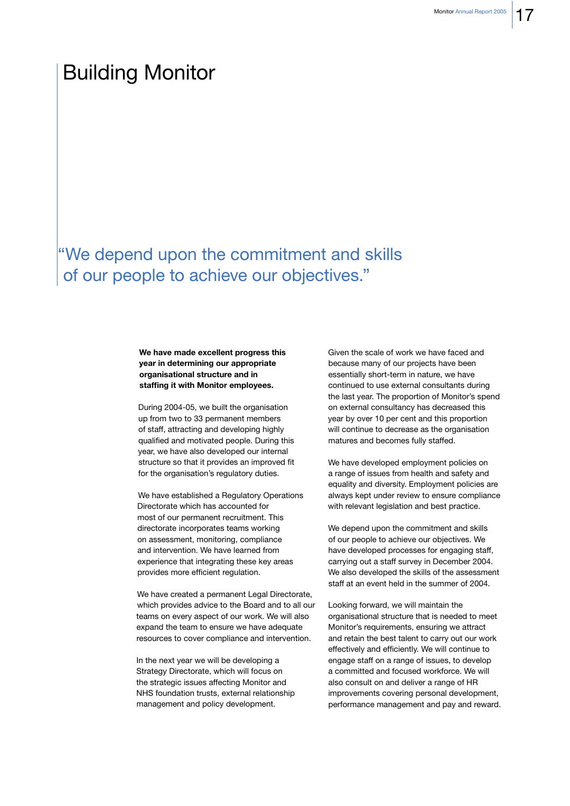# **Building Monitor**

# "We depend upon the commitment and skills of our people to achieve our objectives."

## We have made excellent progress this year in determining our appropriate organisational structure and in staffing it with Monitor employees.

During 2004-05, we built the organisation up from two to 33 permanent members of staff, attracting and developing highly qualified and motivated people. During this year, we have also developed our internal structure so that it provides an improved fit for the organisation's regulatory duties.

We have established a Regulatory Operations Directorate which has accounted for most of our permanent recruitment. This directorate incorporates teams working on assessment, monitoring, compliance and intervention. We have learned from experience that integrating these key areas provides more efficient regulation.

We have created a permanent Legal Directorate, which provides advice to the Board and to all our teams on every aspect of our work. We will also expand the team to ensure we have adequate resources to cover compliance and intervention.

In the next year we will be developing a Strategy Directorate, which will focus on the strategic issues affecting Monitor and NHS foundation trusts, external relationship management and policy development.

Given the scale of work we have faced and because many of our projects have been essentially short-term in nature, we have continued to use external consultants during the last year. The proportion of Monitor's spend on external consultancy has decreased this year by over 10 per cent and this proportion will continue to decrease as the organisation matures and becomes fully staffed.

We have developed employment policies on a range of issues from health and safety and equality and diversity. Employment policies are always kept under review to ensure compliance with relevant legislation and best practice.

We depend upon the commitment and skills of our people to achieve our objectives. We have developed processes for engaging staff, carrying out a staff survey in December 2004. We also developed the skills of the assessment staff at an event held in the summer of 2004.

Looking forward, we will maintain the organisational structure that is needed to meet Monitor's requirements, ensuring we attract and retain the best talent to carry out our work effectively and efficiently. We will continue to engage staff on a range of issues, to develop a committed and focused workforce. We will also consult on and deliver a range of HR improvements covering personal development, performance management and pay and reward.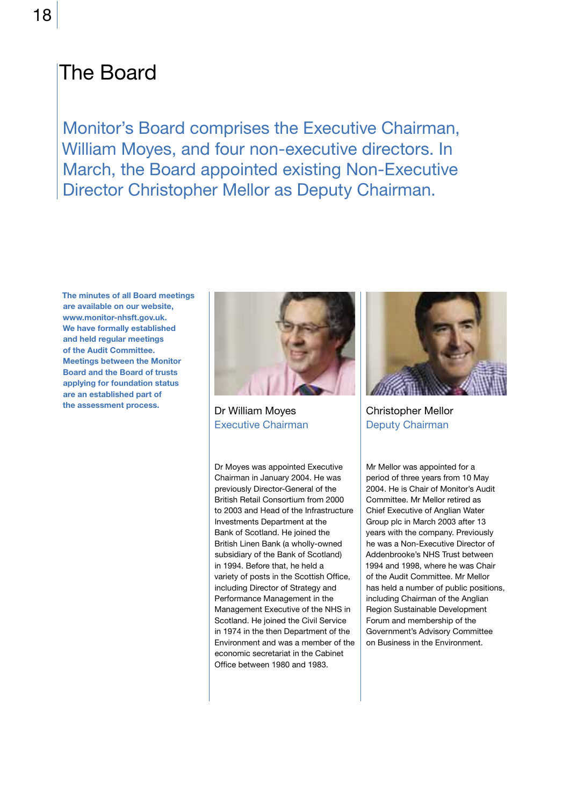# **The Board**

Monitor's Board comprises the Executive Chairman, William Moyes, and four non-executive directors. In March, the Board appointed existing Non-Executive Director Christopher Mellor as Deputy Chairman.

The minutes of all Board meetings are available on our website, www.monitor-nhsft.gov.uk. We have formally established and held regular meetings of the Audit Committee. **Meetings between the Monitor Board and the Board of trusts** applying for foundation status are an established part of the assessment process.



Dr William Moyes **Executive Chairman** 

Dr Moyes was appointed Executive Chairman in January 2004. He was previously Director-General of the British Retail Consortium from 2000 to 2003 and Head of the Infrastructure Investments Department at the Bank of Scotland. He joined the British Linen Bank (a wholly-owned subsidiary of the Bank of Scotland) in 1994. Before that, he held a variety of posts in the Scottish Office, including Director of Strategy and Performance Management in the Management Executive of the NHS in Scotland. He joined the Civil Service in 1974 in the then Department of the Environment and was a member of the economic secretariat in the Cabinet Office between 1980 and 1983.



**Christopher Mellor Deputy Chairman** 

Mr Mellor was appointed for a period of three years from 10 May 2004. He is Chair of Monitor's Audit Committee, Mr Mellor retired as Chief Executive of Anglian Water Group plc in March 2003 after 13 years with the company. Previously he was a Non-Executive Director of Addenbrooke's NHS Trust between 1994 and 1998, where he was Chair of the Audit Committee. Mr Mellor has held a number of public positions, including Chairman of the Anglian Region Sustainable Development Forum and membership of the Government's Advisory Committee on Business in the Environment.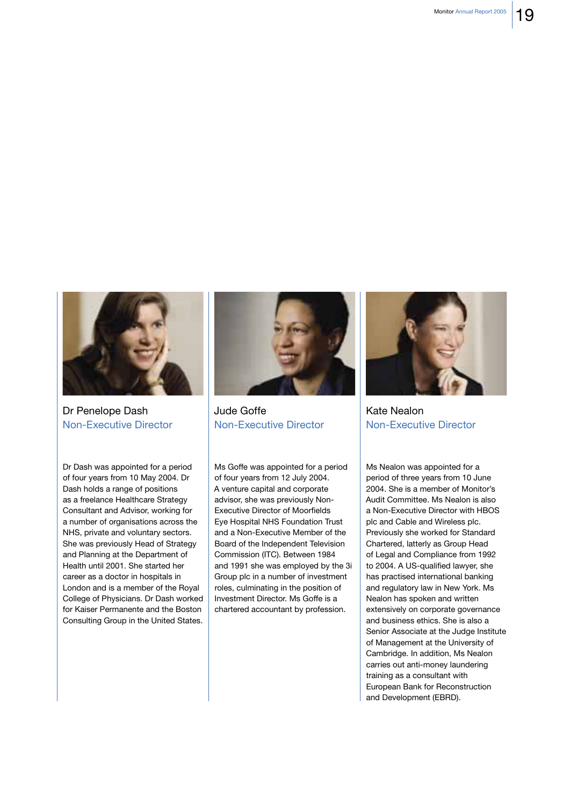

Dr Penelope Dash **Non-Executive Director** 

Dr Dash was appointed for a period of four years from 10 May 2004. Dr Dash holds a range of positions as a freelance Healthcare Strategy Consultant and Advisor, working for a number of organisations across the NHS, private and voluntary sectors. She was previously Head of Strategy and Planning at the Department of Health until 2001. She started her career as a doctor in hospitals in London and is a member of the Royal College of Physicians. Dr Dash worked for Kaiser Permanente and the Boston Consulting Group in the United States.



Jude Goffe **Non-Executive Director** 

Ms Goffe was appointed for a period of four years from 12 July 2004. A venture capital and corporate advisor, she was previously Non-**Executive Director of Moorfields** Eye Hospital NHS Foundation Trust and a Non-Executive Member of the Board of the Independent Television Commission (ITC). Between 1984 and 1991 she was employed by the 3i Group plc in a number of investment roles, culminating in the position of Investment Director. Ms Goffe is a chartered accountant by profession.



Kate Nealon **Non-Executive Director** 

Ms Nealon was appointed for a period of three years from 10 June 2004. She is a member of Monitor's Audit Committee, Ms Nealon is also a Non-Executive Director with HBOS plc and Cable and Wireless plc. Previously she worked for Standard Chartered, latterly as Group Head of Legal and Compliance from 1992 to 2004. A US-qualified lawyer, she has practised international banking and regulatory law in New York. Ms Nealon has spoken and written extensively on corporate governance and business ethics. She is also a Senior Associate at the Judge Institute of Management at the University of Cambridge. In addition, Ms Nealon carries out anti-money laundering training as a consultant with European Bank for Reconstruction and Development (EBRD).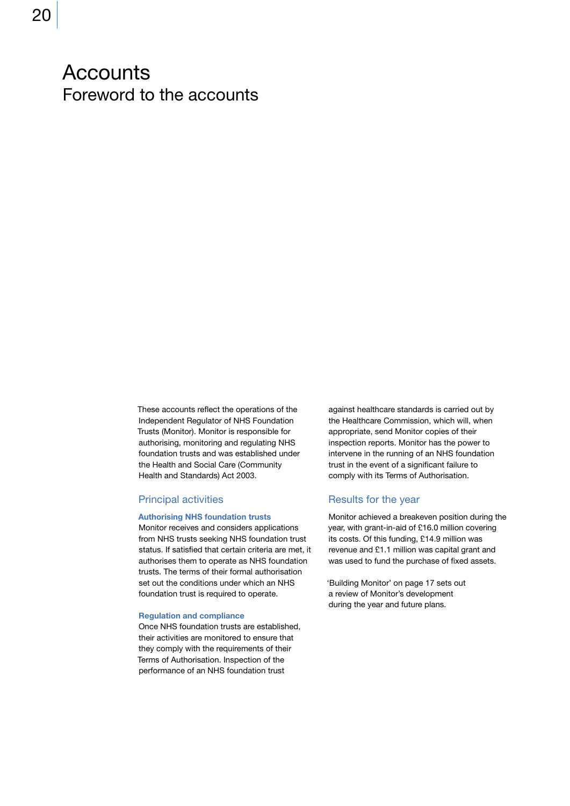# **Accounts** Foreword to the accounts

These accounts reflect the operations of the Independent Regulator of NHS Foundation Trusts (Monitor). Monitor is responsible for authorising, monitoring and regulating NHS foundation trusts and was established under the Health and Social Care (Community Health and Standards) Act 2003.

## **Principal activities**

#### **Authorising NHS foundation trusts**

Monitor receives and considers applications from NHS trusts seeking NHS foundation trust status. If satisfied that certain criteria are met, it authorises them to operate as NHS foundation trusts. The terms of their formal authorisation set out the conditions under which an NHS foundation trust is required to operate.

#### **Requlation and compliance**

Once NHS foundation trusts are established. their activities are monitored to ensure that they comply with the requirements of their Terms of Authorisation. Inspection of the performance of an NHS foundation trust

against healthcare standards is carried out by the Healthcare Commission, which will, when appropriate, send Monitor copies of their inspection reports. Monitor has the power to intervene in the running of an NHS foundation trust in the event of a significant failure to comply with its Terms of Authorisation.

## Results for the year

Monitor achieved a breakeven position during the year, with grant-in-aid of £16.0 million covering its costs. Of this funding, £14.9 million was revenue and £1.1 million was capital grant and was used to fund the purchase of fixed assets.

'Building Monitor' on page 17 sets out a review of Monitor's development during the year and future plans.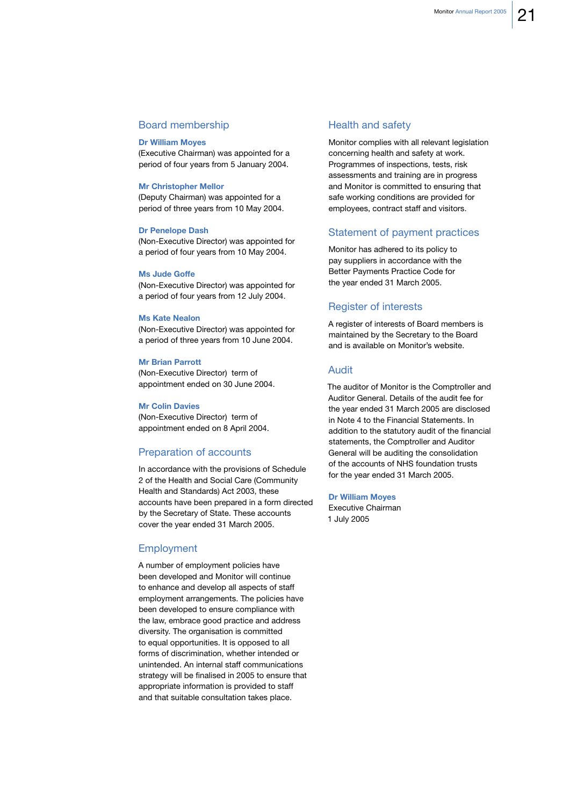# **Board membership**

### **Dr William Moves**

(Executive Chairman) was appointed for a period of four years from 5 January 2004.

#### **Mr Christopher Mellor**

(Deputy Chairman) was appointed for a period of three years from 10 May 2004.

#### **Dr Penelope Dash**

(Non-Executive Director) was appointed for a period of four years from 10 May 2004.

#### **Ms Jude Goffe**

(Non-Executive Director) was appointed for a period of four years from 12 July 2004.

### **Ms Kate Nealon**

(Non-Executive Director) was appointed for a period of three years from 10 June 2004.

#### **Mr Brian Parrott**

(Non-Executive Director) term of appointment ended on 30 June 2004.

#### **Mr Colin Davies**

(Non-Executive Director) term of appointment ended on 8 April 2004.

## Preparation of accounts

In accordance with the provisions of Schedule 2 of the Health and Social Care (Community Health and Standards) Act 2003, these accounts have been prepared in a form directed by the Secretary of State. These accounts cover the year ended 31 March 2005.

## Employment

A number of employment policies have been developed and Monitor will continue to enhance and develop all aspects of staff employment arrangements. The policies have been developed to ensure compliance with the law, embrace good practice and address diversity. The organisation is committed to equal opportunities. It is opposed to all forms of discrimination, whether intended or unintended. An internal staff communications strategy will be finalised in 2005 to ensure that appropriate information is provided to staff and that suitable consultation takes place.

## **Health and safety**

Monitor complies with all relevant legislation concerning health and safety at work. Programmes of inspections, tests, risk assessments and training are in progress and Monitor is committed to ensuring that safe working conditions are provided for employees, contract staff and visitors.

# Statement of payment practices

Monitor has adhered to its policy to pay suppliers in accordance with the Better Payments Practice Code for the year ended 31 March 2005.

## **Register of interests**

A register of interests of Board members is maintained by the Secretary to the Board and is available on Monitor's website.

## Audit

The auditor of Monitor is the Comptroller and Auditor General, Details of the audit fee for the year ended 31 March 2005 are disclosed in Note 4 to the Financial Statements. In addition to the statutory audit of the financial statements, the Comptroller and Auditor General will be auditing the consolidation of the accounts of NHS foundation trusts for the year ended 31 March 2005.

### **Dr William Moyes**

Executive Chairman 1 July 2005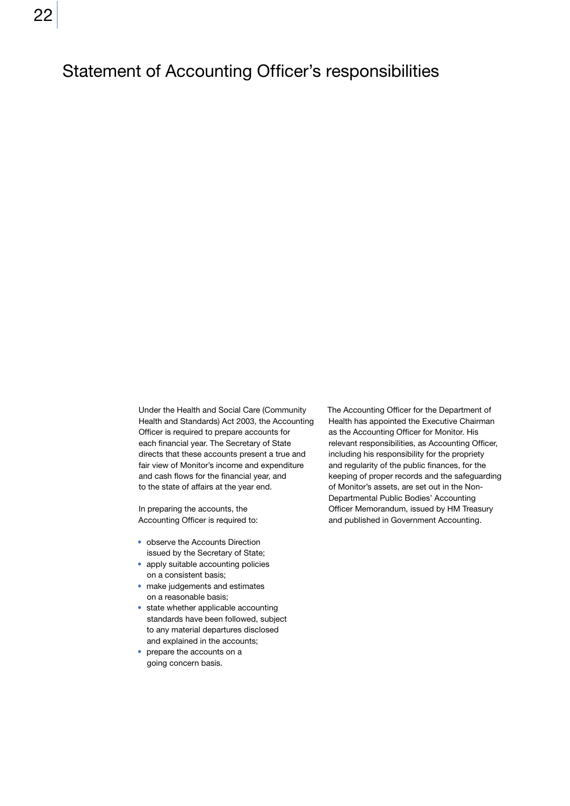# **Statement of Accounting Officer's responsibilities**

Under the Health and Social Care (Community Health and Standards) Act 2003, the Accounting Officer is required to prepare accounts for each financial year. The Secretary of State directs that these accounts present a true and fair view of Monitor's income and expenditure and cash flows for the financial year, and to the state of affairs at the year end.

In preparing the accounts, the Accounting Officer is required to:

- observe the Accounts Direction issued by the Secretary of State;
- apply suitable accounting policies on a consistent basis:
- make judgements and estimates on a reasonable basis;
- state whether applicable accounting standards have been followed, subject to any material departures disclosed and explained in the accounts;
- prepare the accounts on a going concern basis.

The Accounting Officer for the Department of Health has appointed the Executive Chairman as the Accounting Officer for Monitor. His relevant responsibilities, as Accounting Officer, including his responsibility for the propriety and regularity of the public finances, for the keeping of proper records and the safeguarding of Monitor's assets, are set out in the Non-Departmental Public Bodies' Accounting Officer Memorandum, issued by HM Treasury and published in Government Accounting.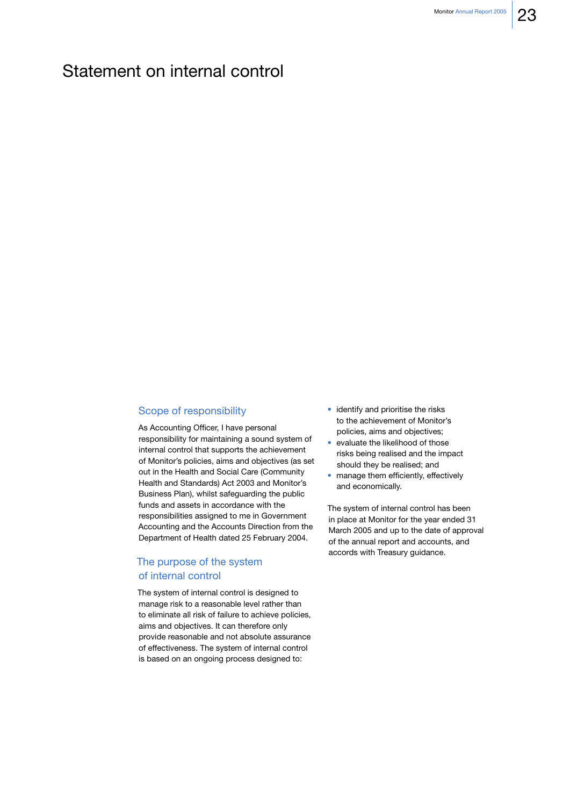# Statement on internal control

# Scope of responsibility

As Accounting Officer, I have personal responsibility for maintaining a sound system of internal control that supports the achievement of Monitor's policies, aims and objectives (as set out in the Health and Social Care (Community Health and Standards) Act 2003 and Monitor's Business Plan), whilst safeguarding the public funds and assets in accordance with the responsibilities assigned to me in Government Accounting and the Accounts Direction from the Department of Health dated 25 February 2004.

# The purpose of the system of internal control

The system of internal control is designed to manage risk to a reasonable level rather than to eliminate all risk of failure to achieve policies, aims and objectives. It can therefore only provide reasonable and not absolute assurance of effectiveness. The system of internal control is based on an ongoing process designed to:

- · identify and prioritise the risks to the achievement of Monitor's policies, aims and objectives;
- evaluate the likelihood of those risks being realised and the impact should they be realised; and
- · manage them efficiently, effectively and economically.

The system of internal control has been in place at Monitor for the year ended 31 March 2005 and up to the date of approval of the annual report and accounts, and accords with Treasury guidance.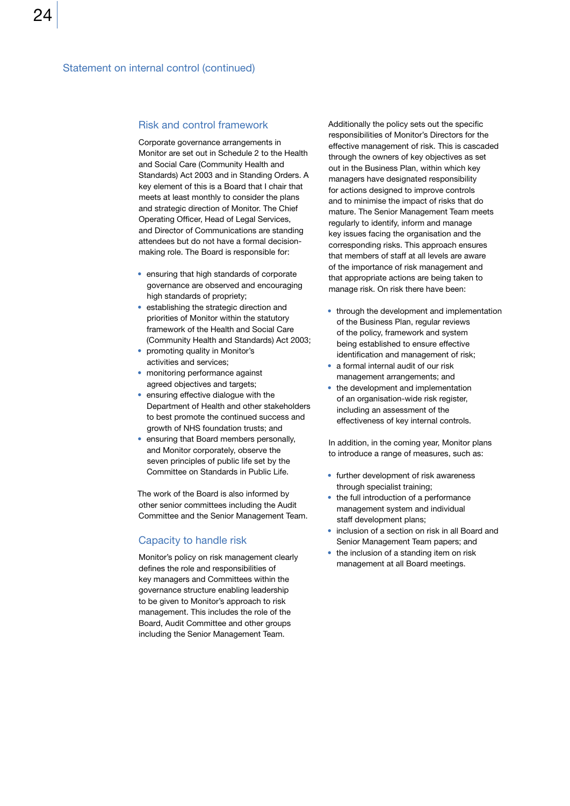### **Risk and control framework**

Corporate governance arrangements in Monitor are set out in Schedule 2 to the Health and Social Care (Community Health and Standards) Act 2003 and in Standing Orders, A key element of this is a Board that I chair that meets at least monthly to consider the plans and strategic direction of Monitor. The Chief Operating Officer, Head of Legal Services, and Director of Communications are standing attendees but do not have a formal decisionmaking role. The Board is responsible for:

- ensuring that high standards of corporate governance are observed and encouraging high standards of propriety;
- establishing the strategic direction and priorities of Monitor within the statutory framework of the Health and Social Care (Community Health and Standards) Act 2003;
- promoting quality in Monitor's activities and services;
- monitoring performance against agreed objectives and targets:
- ensuring effective dialogue with the Department of Health and other stakeholders to best promote the continued success and growth of NHS foundation trusts; and
- ensuring that Board members personally, and Monitor corporately, observe the seven principles of public life set by the Committee on Standards in Public Life.

The work of the Board is also informed by other senior committees including the Audit Committee and the Senior Management Team.

## Capacity to handle risk

Monitor's policy on risk management clearly defines the role and responsibilities of key managers and Committees within the governance structure enabling leadership to be given to Monitor's approach to risk management. This includes the role of the Board, Audit Committee and other groups including the Senior Management Team.

Additionally the policy sets out the specific responsibilities of Monitor's Directors for the effective management of risk. This is cascaded through the owners of key objectives as set out in the Business Plan, within which key managers have designated responsibility for actions designed to improve controls and to minimise the impact of risks that do mature. The Senior Management Team meets regularly to identify, inform and manage key issues facing the organisation and the corresponding risks. This approach ensures that members of staff at all levels are aware of the importance of risk management and that appropriate actions are being taken to manage risk. On risk there have been:

- through the development and implementation of the Business Plan, regular reviews of the policy, framework and system being established to ensure effective identification and management of risk:
- a formal internal audit of our risk management arrangements; and
- the development and implementation of an organisation-wide risk register, including an assessment of the effectiveness of key internal controls.

In addition, in the coming year, Monitor plans to introduce a range of measures, such as:

- further development of risk awareness through specialist training:
- the full introduction of a performance management system and individual staff development plans;
- inclusion of a section on risk in all Board and Senior Management Team papers; and
- the inclusion of a standing item on risk management at all Board meetings.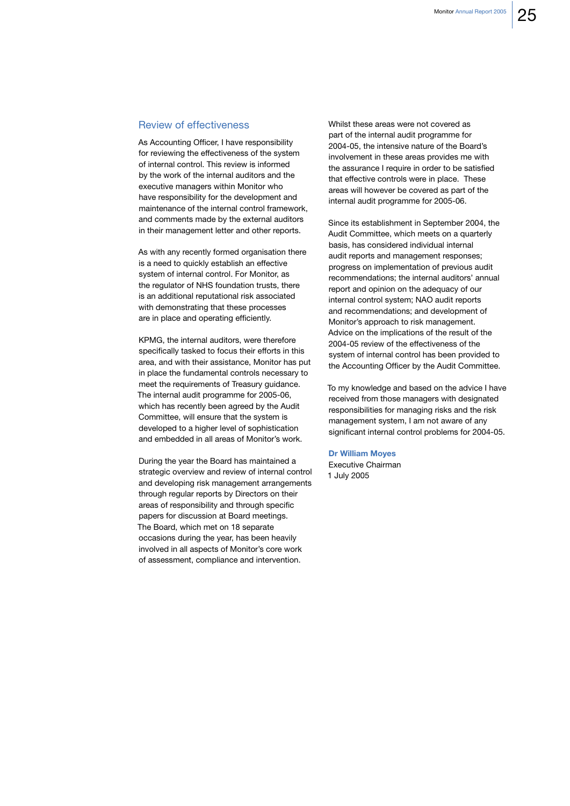### **Review of effectiveness**

As Accounting Officer, I have responsibility for reviewing the effectiveness of the system of internal control. This review is informed by the work of the internal auditors and the executive managers within Monitor who have responsibility for the development and maintenance of the internal control framework. and comments made by the external auditors in their management letter and other reports.

As with any recently formed organisation there is a need to quickly establish an effective system of internal control. For Monitor, as the regulator of NHS foundation trusts, there is an additional reputational risk associated with demonstrating that these processes are in place and operating efficiently.

KPMG, the internal auditors, were therefore specifically tasked to focus their efforts in this area, and with their assistance, Monitor has put in place the fundamental controls necessary to meet the requirements of Treasury quidance. The internal audit programme for 2005-06, which has recently been agreed by the Audit Committee, will ensure that the system is developed to a higher level of sophistication and embedded in all areas of Monitor's work.

During the year the Board has maintained a strategic overview and review of internal control and developing risk management arrangements through regular reports by Directors on their areas of responsibility and through specific papers for discussion at Board meetings. The Board, which met on 18 separate occasions during the year, has been heavily involved in all aspects of Monitor's core work of assessment, compliance and intervention.

Whilst these areas were not covered as part of the internal audit programme for 2004-05, the intensive nature of the Board's involvement in these areas provides me with the assurance I require in order to be satisfied that effective controls were in place. These areas will however be covered as part of the internal audit programme for 2005-06.

Since its establishment in September 2004, the Audit Committee, which meets on a quarterly basis, has considered individual internal audit reports and management responses; progress on implementation of previous audit recommendations; the internal auditors' annual report and opinion on the adequacy of our internal control system; NAO audit reports and recommendations; and development of Monitor's approach to risk management. Advice on the implications of the result of the 2004-05 review of the effectiveness of the system of internal control has been provided to the Accounting Officer by the Audit Committee.

To my knowledge and based on the advice I have received from those managers with designated responsibilities for managing risks and the risk management system, I am not aware of any significant internal control problems for 2004-05.

#### **Dr William Moyes**

Executive Chairman 1 July 2005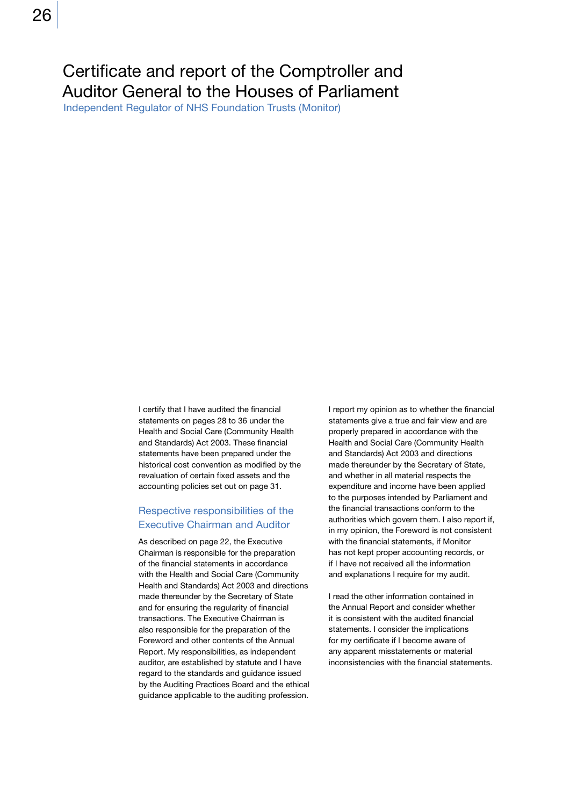# Certificate and report of the Comptroller and Auditor General to the Houses of Parliament

Independent Regulator of NHS Foundation Trusts (Monitor)

I certify that I have audited the financial statements on pages 28 to 36 under the Health and Social Care (Community Health and Standards) Act 2003. These financial statements have been prepared under the historical cost convention as modified by the revaluation of certain fixed assets and the accounting policies set out on page 31.

# Respective responsibilities of the **Executive Chairman and Auditor**

As described on page 22, the Executive Chairman is responsible for the preparation of the financial statements in accordance with the Health and Social Care (Community Health and Standards) Act 2003 and directions made thereunder by the Secretary of State and for ensuring the regularity of financial transactions. The Executive Chairman is also responsible for the preparation of the Foreword and other contents of the Annual Report. My responsibilities, as independent auditor, are established by statute and I have regard to the standards and guidance issued by the Auditing Practices Board and the ethical guidance applicable to the auditing profession.

I report my opinion as to whether the financial statements give a true and fair view and are properly prepared in accordance with the Health and Social Care (Community Health and Standards) Act 2003 and directions made thereunder by the Secretary of State, and whether in all material respects the expenditure and income have been applied to the purposes intended by Parliament and the financial transactions conform to the authorities which govern them. I also report if, in my opinion, the Foreword is not consistent with the financial statements, if Monitor has not kept proper accounting records, or if I have not received all the information and explanations I require for my audit.

I read the other information contained in the Annual Report and consider whether it is consistent with the audited financial statements. I consider the implications for my certificate if I become aware of any apparent misstatements or material inconsistencies with the financial statements.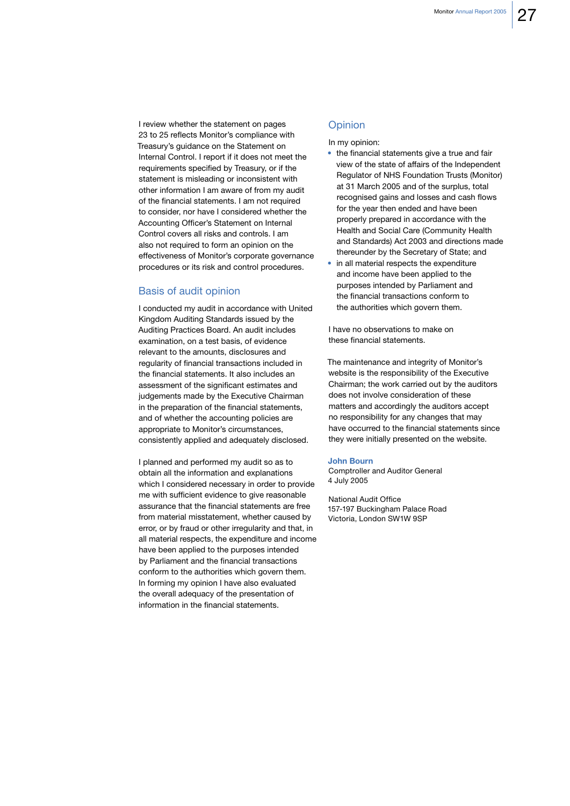I review whether the statement on pages 23 to 25 reflects Monitor's compliance with Treasury's guidance on the Statement on Internal Control. I report if it does not meet the requirements specified by Treasury, or if the statement is misleading or inconsistent with other information I am aware of from my audit of the financial statements. I am not required to consider, nor have I considered whether the Accounting Officer's Statement on Internal Control covers all risks and controls. I am also not required to form an opinion on the effectiveness of Monitor's corporate governance procedures or its risk and control procedures.

# **Basis of audit opinion**

I conducted my audit in accordance with United Kingdom Auditing Standards issued by the Auditing Practices Board. An audit includes examination, on a test basis, of evidence relevant to the amounts, disclosures and regularity of financial transactions included in the financial statements. It also includes an assessment of the significant estimates and judgements made by the Executive Chairman in the preparation of the financial statements, and of whether the accounting policies are appropriate to Monitor's circumstances, consistently applied and adequately disclosed.

I planned and performed my audit so as to obtain all the information and explanations which I considered necessary in order to provide me with sufficient evidence to give reasonable assurance that the financial statements are free from material misstatement, whether caused by error, or by fraud or other irregularity and that, in all material respects, the expenditure and income have been applied to the purposes intended by Parliament and the financial transactions conform to the authorities which govern them. In forming my opinion I have also evaluated the overall adequacy of the presentation of information in the financial statements.

# Opinion

In my opinion:

- the financial statements give a true and fair view of the state of affairs of the Independent Regulator of NHS Foundation Trusts (Monitor) at 31 March 2005 and of the surplus, total recognised gains and losses and cash flows for the year then ended and have been properly prepared in accordance with the Health and Social Care (Community Health and Standards) Act 2003 and directions made thereunder by the Secretary of State; and
- in all material respects the expenditure and income have been applied to the purposes intended by Parliament and the financial transactions conform to the authorities which govern them.

I have no observations to make on these financial statements.

The maintenance and integrity of Monitor's website is the responsibility of the Executive Chairman: the work carried out by the auditors does not involve consideration of these matters and accordingly the auditors accept no responsibility for any changes that may have occurred to the financial statements since they were initially presented on the website.

#### **John Bourn**

**Comptroller and Auditor General** 4 July 2005

National Audit Office 157-197 Buckingham Palace Road Victoria, London SW1W 9SP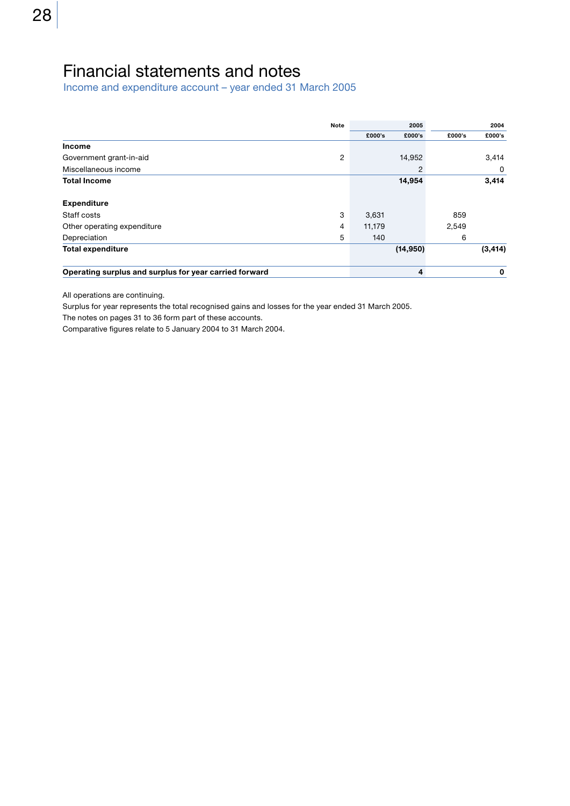# Financial statements and notes

Income and expenditure account - year ended 31 March 2005

|                                                        | <b>Note</b> |        | 2005      |        | 2004     |
|--------------------------------------------------------|-------------|--------|-----------|--------|----------|
|                                                        |             | £000's | £000's    | £000's | £000's   |
| <b>Income</b>                                          |             |        |           |        |          |
| Government grant-in-aid                                | 2           |        | 14,952    |        | 3,414    |
| Miscellaneous income                                   |             |        | 2         |        | 0        |
| <b>Total Income</b>                                    |             |        | 14,954    |        | 3,414    |
| <b>Expenditure</b>                                     |             |        |           |        |          |
| Staff costs                                            | 3           | 3,631  |           | 859    |          |
| Other operating expenditure                            | 4           | 11,179 |           | 2,549  |          |
| Depreciation                                           | 5           | 140    |           | 6      |          |
| <b>Total expenditure</b>                               |             |        | (14, 950) |        | (3, 414) |
| Operating surplus and surplus for year carried forward |             |        | 4         |        | 0        |

All operations are continuing.

Surplus for year represents the total recognised gains and losses for the year ended 31 March 2005.

The notes on pages 31 to 36 form part of these accounts.

Comparative figures relate to 5 January 2004 to 31 March 2004.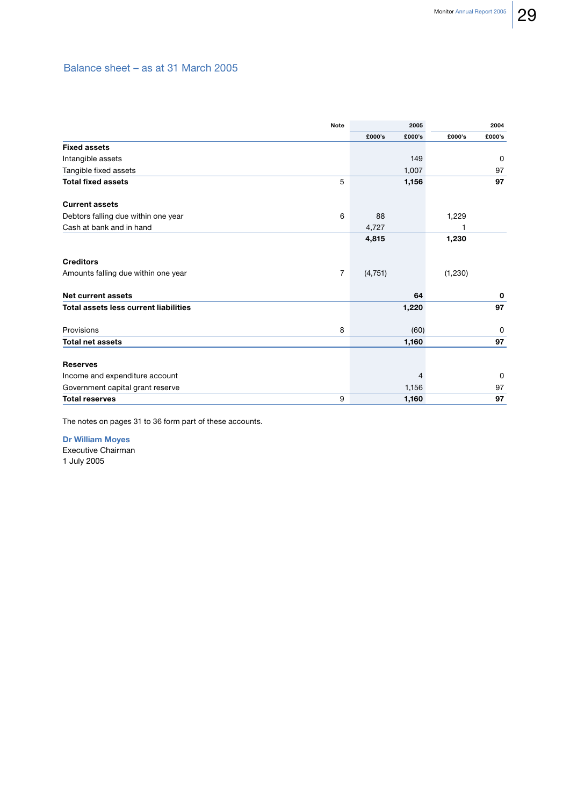# Balance sheet - as at 31 March 2005

|                                              | Note<br>2005   |          |        |          | 2004         |
|----------------------------------------------|----------------|----------|--------|----------|--------------|
|                                              |                | £000's   | £000's | £000's   | £000's       |
| <b>Fixed assets</b>                          |                |          |        |          |              |
| Intangible assets                            |                |          | 149    |          | $\Omega$     |
| Tangible fixed assets                        |                |          | 1,007  |          | 97           |
| <b>Total fixed assets</b>                    | 5              |          | 1,156  |          | 97           |
| <b>Current assets</b>                        |                |          |        |          |              |
| Debtors falling due within one year          | 6              | 88       |        | 1,229    |              |
| Cash at bank and in hand                     |                | 4,727    |        |          |              |
|                                              |                | 4,815    |        | 1,230    |              |
| <b>Creditors</b>                             |                |          |        |          |              |
| Amounts falling due within one year          | $\overline{7}$ | (4, 751) |        | (1, 230) |              |
| <b>Net current assets</b>                    |                |          | 64     |          | 0            |
| <b>Total assets less current liabilities</b> |                |          | 1,220  |          | 97           |
| Provisions                                   | 8              |          | (60)   |          | 0            |
| <b>Total net assets</b>                      |                |          | 1,160  |          | 97           |
| <b>Reserves</b>                              |                |          |        |          |              |
| Income and expenditure account               |                |          | 4      |          | $\mathbf{0}$ |
| Government capital grant reserve             |                |          | 1,156  |          | 97           |
| <b>Total reserves</b>                        | 9              |          | 1,160  |          | 97           |

The notes on pages 31 to 36 form part of these accounts.

**Dr William Moyes** Executive Chairman

1 July 2005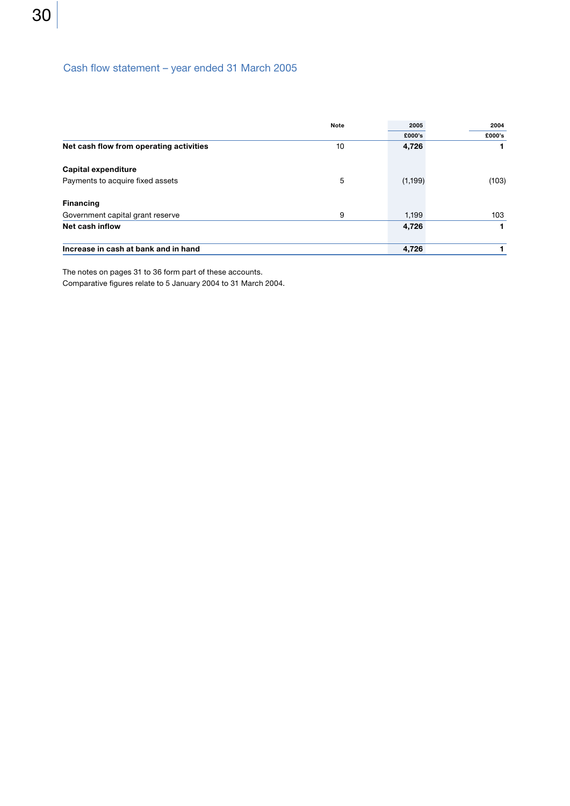# Cash flow statement - year ended 31 March 2005

|                                         | <b>Note</b> | 2005     | 2004   |
|-----------------------------------------|-------------|----------|--------|
|                                         |             | £000's   | £000's |
| Net cash flow from operating activities | 10          | 4,726    |        |
| Capital expenditure                     |             |          |        |
| Payments to acquire fixed assets        | 5           | (1, 199) | (103)  |
| <b>Financing</b>                        |             |          |        |
| Government capital grant reserve        | 9           | 1.199    | 103    |
| Net cash inflow                         |             | 4,726    |        |
| Increase in cash at bank and in hand    |             | 4,726    |        |

The notes on pages 31 to 36 form part of these accounts.

Comparative figures relate to 5 January 2004 to 31 March 2004.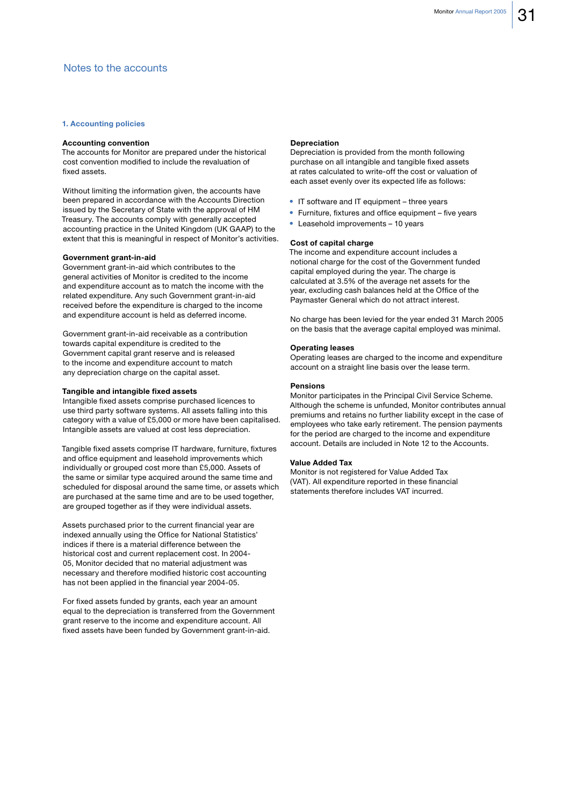### 1. Accounting policies

#### **Accounting convention**

The accounts for Monitor are prepared under the historical cost convention modified to include the revaluation of fixed assets.

Without limiting the information given, the accounts have been prepared in accordance with the Accounts Direction issued by the Secretary of State with the approval of HM Treasury. The accounts comply with generally accepted accounting practice in the United Kingdom (UK GAAP) to the extent that this is meaningful in respect of Monitor's activities.

#### Government grant-in-aid

Government grant-in-aid which contributes to the general activities of Monitor is credited to the income and expenditure account as to match the income with the related expenditure. Any such Government grant-in-aid received before the expenditure is charged to the income and expenditure account is held as deferred income.

Government grant-in-aid receivable as a contribution towards capital expenditure is credited to the Government capital grant reserve and is released to the income and expenditure account to match any depreciation charge on the capital asset.

#### Tangible and intangible fixed assets

Intangible fixed assets comprise purchased licences to use third party software systems. All assets falling into this category with a value of £5,000 or more have been capitalised. Intangible assets are valued at cost less depreciation.

Tangible fixed assets comprise IT hardware, furniture, fixtures and office equipment and leasehold improvements which individually or grouped cost more than £5,000. Assets of the same or similar type acquired around the same time and scheduled for disposal around the same time, or assets which are purchased at the same time and are to be used together, are grouped together as if they were individual assets.

Assets purchased prior to the current financial year are indexed annually using the Office for National Statistics' indices if there is a material difference between the historical cost and current replacement cost. In 2004-05, Monitor decided that no material adjustment was necessary and therefore modified historic cost accounting has not been applied in the financial year 2004-05.

For fixed assets funded by grants, each year an amount equal to the depreciation is transferred from the Government grant reserve to the income and expenditure account. All fixed assets have been funded by Government grant-in-aid.

#### **Depreciation**

Depreciation is provided from the month following purchase on all intangible and tangible fixed assets at rates calculated to write-off the cost or valuation of each asset evenly over its expected life as follows:

- IT software and IT equipment three years
- Furniture, fixtures and office equipment five years
- Leasehold improvements 10 years

#### Cost of capital charge

The income and expenditure account includes a notional charge for the cost of the Government funded capital employed during the year. The charge is calculated at 3.5% of the average net assets for the year, excluding cash balances held at the Office of the Paymaster General which do not attract interest.

No charge has been levied for the year ended 31 March 2005 on the basis that the average capital employed was minimal.

#### **Operating leases**

Operating leases are charged to the income and expenditure account on a straight line basis over the lease term.

#### **Pensions**

Monitor participates in the Principal Civil Service Scheme. Although the scheme is unfunded, Monitor contributes annual premiums and retains no further liability except in the case of employees who take early retirement. The pension payments for the period are charged to the income and expenditure account. Details are included in Note 12 to the Accounts.

#### **Value Added Tax**

Monitor is not registered for Value Added Tax (VAT). All expenditure reported in these financial statements therefore includes VAT incurred.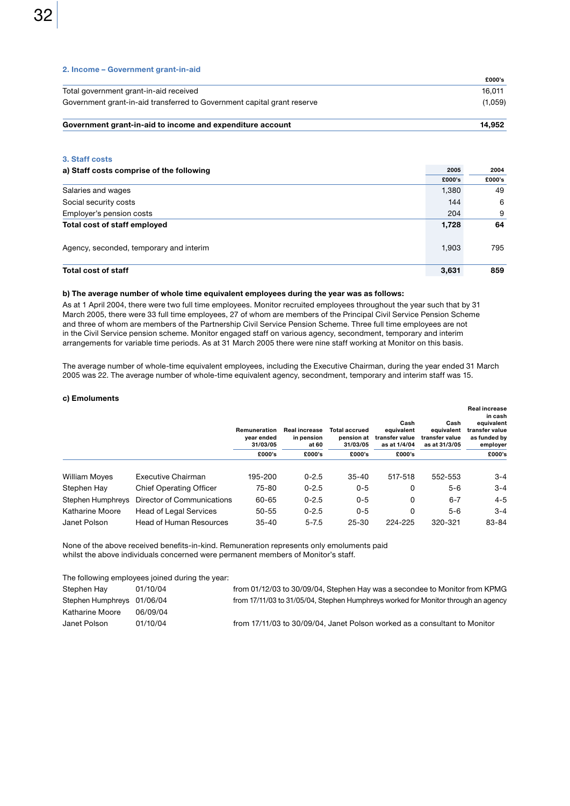|  | 2. Income - Government grant-in-aid |  |
|--|-------------------------------------|--|
|--|-------------------------------------|--|

|                                                                         | £000's        |
|-------------------------------------------------------------------------|---------------|
| Total government grant-in-aid received                                  | 16.011        |
| Government grant-in-aid transferred to Government capital grant reserve | (1,059)       |
| Carramagnative and in aid to income and concentition account            | <b>44 AEA</b> |

| Government grant-in-aid to income and expenditure account | 14.934 |
|-----------------------------------------------------------|--------|
|                                                           |        |

### 3. Staff costs

| a) Staff costs comprise of the following |        | 2004   |
|------------------------------------------|--------|--------|
|                                          | £000's | £000's |
| Salaries and wages                       | 1,380  | 49     |
| Social security costs                    | 144    | 6      |
| Employer's pension costs                 | 204    | 9      |
| Total cost of staff employed             | 1,728  | 64     |
| Agency, seconded, temporary and interim  | 1,903  | 795    |
| <b>Total cost of staff</b>               | 3,631  | 859    |

#### b) The average number of whole time equivalent employees during the year was as follows:

As at 1 April 2004, there were two full time employees. Monitor recruited employees throughout the year such that by 31 March 2005, there were 33 full time employees, 27 of whom are members of the Principal Civil Service Pension Scheme and three of whom are members of the Partnership Civil Service Pension Scheme. Three full time employees are not in the Civil Service pension scheme. Monitor engaged staff on various agency, secondment, temporary and interim arrangements for variable time periods. As at 31 March 2005 there were nine staff working at Monitor on this basis.

The average number of whole-time equivalent employees, including the Executive Chairman, during the year ended 31 March 2005 was 22. The average number of whole-time equivalent agency, secondment, temporary and interim staff was 15.

#### c) Emoluments

|                      |                                | Remuneration<br>vear ended<br>31/03/05 | <b>Real increase</b><br>in pension<br>at 60 | <b>Total accrued</b><br>pension at<br>31/03/05 | Cash<br>equivalent<br>transfer value<br>as at 1/4/04 | Cash<br>equivalent<br>transfer value<br>as at 31/3/05 | <b>Real increase</b><br>in cash<br>equivalent<br>transfer value<br>as funded by<br>employer |
|----------------------|--------------------------------|----------------------------------------|---------------------------------------------|------------------------------------------------|------------------------------------------------------|-------------------------------------------------------|---------------------------------------------------------------------------------------------|
|                      |                                | £000's                                 | £000's                                      | £000's                                         | £000's                                               |                                                       | £000's                                                                                      |
| <b>William Moyes</b> | Executive Chairman             | 195-200                                | $0 - 2.5$                                   | $35 - 40$                                      | 517-518                                              | 552-553                                               | $3 - 4$                                                                                     |
| Stephen Hay          | <b>Chief Operating Officer</b> | 75-80                                  | $0 - 2.5$                                   | $0 - 5$                                        | 0                                                    | $5 - 6$                                               | $3 - 4$                                                                                     |
| Stephen Humphreys    | Director of Communications     | 60-65                                  | $0 - 2.5$                                   | $0 - 5$                                        | 0                                                    | $6 - 7$                                               | $4 - 5$                                                                                     |
| Katharine Moore      | <b>Head of Legal Services</b>  | $50 - 55$                              | $0 - 2.5$                                   | $0 - 5$                                        | 0                                                    | $5-6$                                                 | $3 - 4$                                                                                     |
| Janet Polson         | <b>Head of Human Resources</b> | $35 - 40$                              | $5 - 7.5$                                   | $25 - 30$                                      | 224-225                                              | 320-321                                               | 83-84                                                                                       |

None of the above received benefits-in-kind. Remuneration represents only emoluments paid whilst the above individuals concerned were permanent members of Monitor's staff.

The following employees joined during the year:

| Stephen Hay                | 01/10/04 | from 01/12/03 to 30/09/04, Stephen Hay was a secondee to Monitor from KPMG        |
|----------------------------|----------|-----------------------------------------------------------------------------------|
| Stephen Humphreys 01/06/04 |          | from 17/11/03 to 31/05/04, Stephen Humphreys worked for Monitor through an agency |
| Katharine Moore            | 06/09/04 |                                                                                   |
| Janet Polson               | 01/10/04 | from 17/11/03 to 30/09/04, Janet Polson worked as a consultant to Monitor         |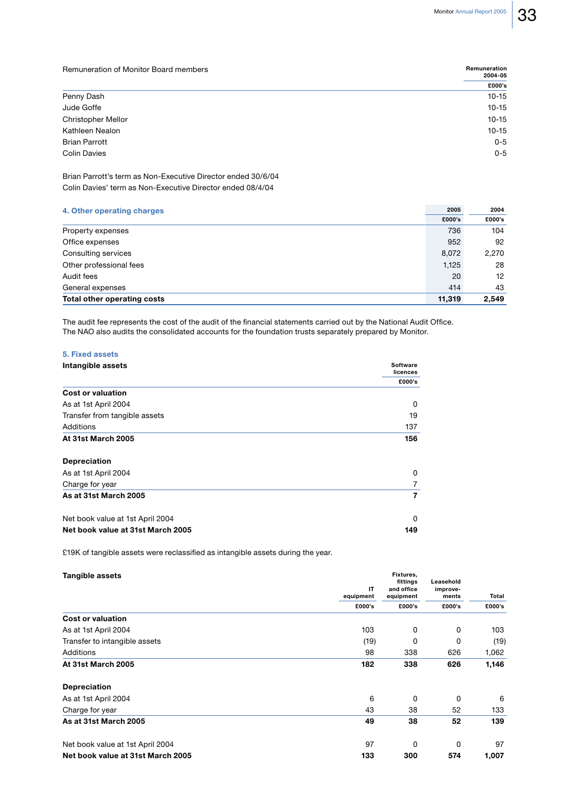Remuneration

Remuneration of Monitor Board members

|                           | 2004-05   |
|---------------------------|-----------|
|                           | £000's    |
| Penny Dash                | $10 - 15$ |
| Jude Goffe                | $10 - 15$ |
| <b>Christopher Mellor</b> | $10 - 15$ |
| Kathleen Nealon           | $10 - 15$ |
| <b>Brian Parrott</b>      | $0 - 5$   |
| <b>Colin Davies</b>       | $0 - 5$   |
|                           |           |

Brian Parrott's term as Non-Executive Director ended 30/6/04 Colin Davies' term as Non-Executive Director ended 08/4/04

## 4. Other operating charges

| 4. Other operating charges  |        | 2004   |
|-----------------------------|--------|--------|
|                             | £000's | £000's |
| Property expenses           | 736    | 104    |
| Office expenses             | 952    | 92     |
| Consulting services         | 8,072  | 2,270  |
| Other professional fees     | 1,125  | 28     |
| Audit fees                  | 20     | 12     |
| General expenses            | 414    | 43     |
| Total other operating costs | 11,319 | 2,549  |

The audit fee represents the cost of the audit of the financial statements carried out by the National Audit Office. The NAO also audits the consolidated accounts for the foundation trusts separately prepared by Monitor.

## 5. Fixed assets

| Intangible assets                 | Software<br>licences |
|-----------------------------------|----------------------|
|                                   | £000's               |
| <b>Cost or valuation</b>          |                      |
| As at 1st April 2004              | 0                    |
| Transfer from tangible assets     | 19                   |
| Additions                         | 137                  |
| At 31st March 2005                | 156                  |
| <b>Depreciation</b>               |                      |
| As at 1st April 2004              | 0                    |
| Charge for year                   |                      |
| As at 31st March 2005             | 7                    |
| Net book value at 1st April 2004  | 0                    |
| Net book value at 31st March 2005 | 149                  |

£19K of tangible assets were reclassified as intangible assets during the year.

| Tangible assets                   |           | Fixtures,<br>fittings<br>and office<br>equipment | Leasehold<br>improve-<br>ments | Total  |
|-----------------------------------|-----------|--------------------------------------------------|--------------------------------|--------|
|                                   | IT        |                                                  |                                |        |
|                                   | equipment |                                                  |                                |        |
|                                   | £000's    | £000's                                           | £000's                         | £000's |
| <b>Cost or valuation</b>          |           |                                                  |                                |        |
| As at 1st April 2004              | 103       | 0                                                | 0                              | 103    |
| Transfer to intangible assets     | (19)      | 0                                                | 0                              | (19)   |
| Additions                         | 98        | 338                                              | 626                            | 1,062  |
| At 31st March 2005                | 182       | 338                                              | 626                            | 1,146  |
| <b>Depreciation</b>               |           |                                                  |                                |        |
| As at 1st April 2004              | 6         | 0                                                | 0                              | 6      |
| Charge for year                   | 43        | 38                                               | 52                             | 133    |
| As at 31st March 2005             | 49        | 38                                               | 52                             | 139    |
| Net book value at 1st April 2004  | 97        | 0                                                | 0                              | 97     |
| Net book value at 31st March 2005 | 133       | 300                                              | 574                            | 1,007  |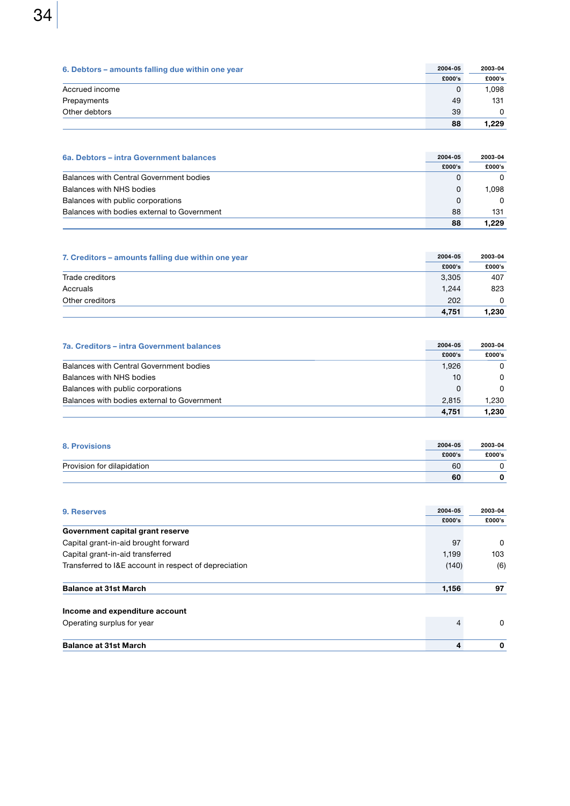| 6. Debtors – amounts falling due within one year | 2004-05 | 2003-04 |
|--------------------------------------------------|---------|---------|
|                                                  | £000's  | £000's  |
| Accrued income                                   | 0       | 1.098   |
| Prepayments                                      | 49      | 131     |
| Other debtors                                    | 39      | 0       |
|                                                  | 88      | 1.229   |

| 6a. Debtors – intra Government balances     | 2004-05 | 2003-04  |
|---------------------------------------------|---------|----------|
|                                             | £000's  | £000's   |
| Balances with Central Government bodies     |         | $\Omega$ |
| Balances with NHS bodies                    | O       | 1.098    |
| Balances with public corporations           | 0       | 0        |
| Balances with bodies external to Government | 88      | 131      |
|                                             | 88      | 1.229    |

| 7. Creditors – amounts falling due within one year | 2004-05 | 2003-04 |
|----------------------------------------------------|---------|---------|
|                                                    | £000's  | £000's  |
| Trade creditors                                    | 3.305   | 407     |
| Accruals                                           | 1.244   | 823     |
| Other creditors                                    | 202     | 0       |
|                                                    | 4.751   | 1.230   |

| 7a. Creditors – intra Government balances   | 2004-05 | 2003-04  |
|---------------------------------------------|---------|----------|
|                                             | £000's  | £000's   |
| Balances with Central Government bodies     | 1.926   | $\Omega$ |
| Balances with NHS bodies                    | 10      | $\Omega$ |
| Balances with public corporations           | 0       | $\Omega$ |
| Balances with bodies external to Government | 2.815   | 1.230    |
|                                             | 4.751   | 1.230    |

| 8. Provisions              | 2004-05 | 2003-04 |
|----------------------------|---------|---------|
|                            | £000's  | £000's  |
| Provision for dilapidation | 60      |         |
|                            | 60      |         |

| 9. Reserves                                           |        | 2003-04  |
|-------------------------------------------------------|--------|----------|
|                                                       | £000's | £000's   |
| Government capital grant reserve                      |        |          |
| Capital grant-in-aid brought forward                  | 97     | 0        |
| Capital grant-in-aid transferred                      | 1,199  | 103      |
| Transferred to I&E account in respect of depreciation | (140)  | (6)      |
| <b>Balance at 31st March</b>                          | 1,156  | 97       |
| Income and expenditure account                        |        |          |
| Operating surplus for year                            | 4      | $\Omega$ |
| <b>Balance at 31st March</b>                          | 4      | 0        |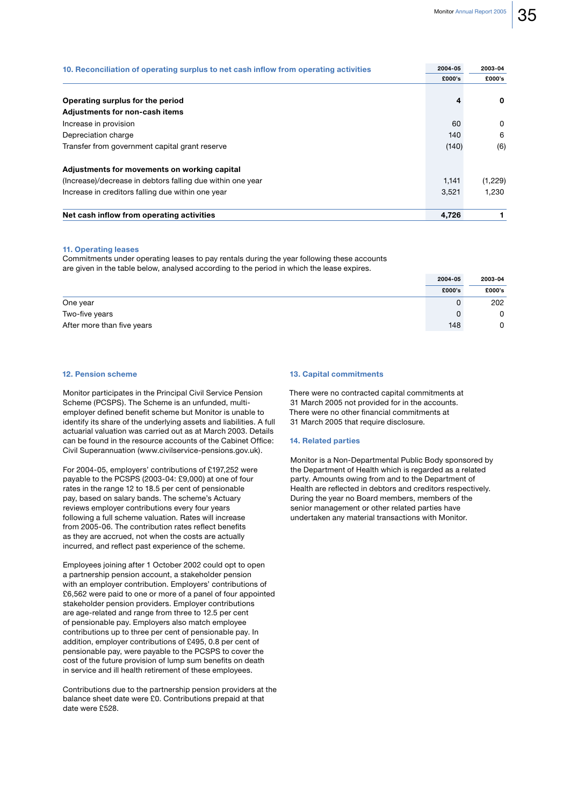| 10. Reconciliation of operating surplus to net cash inflow from operating activities | 2004-05 | 2003-04  |
|--------------------------------------------------------------------------------------|---------|----------|
|                                                                                      | £000's  | £000's   |
|                                                                                      |         |          |
| Operating surplus for the period                                                     | 4       | 0        |
| <b>Adjustments for non-cash items</b>                                                |         |          |
| Increase in provision                                                                | 60      | $\Omega$ |
| Depreciation charge                                                                  | 140     | 6        |
| Transfer from government capital grant reserve                                       | (140)   | (6)      |
| Adjustments for movements on working capital                                         |         |          |
| (Increase)/decrease in debtors falling due within one year                           | 1.141   | (1,229)  |
| Increase in creditors falling due within one year                                    | 3.521   | 1.230    |
| Net cash inflow from operating activities                                            | 4.726   |          |

#### **11. Operating leases**

Commitments under operating leases to pay rentals during the year following these accounts are given in the table below, analysed according to the period in which the lease expires.

|                            | 2004-05 | 2003-04 |
|----------------------------|---------|---------|
|                            | £000's  | £000's  |
| One year                   |         | 202     |
| Two-five years             | 0       | 0       |
| After more than five years | 148     | 0       |

### 12. Pension scheme

Monitor participates in the Principal Civil Service Pension Scheme (PCSPS). The Scheme is an unfunded, multiemployer defined benefit scheme but Monitor is unable to identify its share of the underlying assets and liabilities. A full actuarial valuation was carried out as at March 2003. Details can be found in the resource accounts of the Cabinet Office: Civil Superannuation (www.civilservice-pensions.gov.uk).

For 2004-05, employers' contributions of £197,252 were payable to the PCSPS (2003-04: £9,000) at one of four rates in the range 12 to 18.5 per cent of pensionable pay, based on salary bands. The scheme's Actuary reviews employer contributions every four years following a full scheme valuation. Rates will increase from 2005-06. The contribution rates reflect benefits as they are accrued, not when the costs are actually incurred, and reflect past experience of the scheme.

Employees joining after 1 October 2002 could opt to open a partnership pension account, a stakeholder pension with an employer contribution. Employers' contributions of £6.562 were paid to one or more of a panel of four appointed stakeholder pension providers. Employer contributions are age-related and range from three to 12.5 per cent of pensionable pay. Employers also match employee contributions up to three per cent of pensionable pay. In addition, employer contributions of £495, 0.8 per cent of pensionable pay, were payable to the PCSPS to cover the cost of the future provision of lump sum benefits on death in service and ill health retirement of these employees.

Contributions due to the partnership pension providers at the balance sheet date were £0. Contributions prepaid at that date were £528.

#### **13. Capital commitments**

There were no contracted capital commitments at 31 March 2005 not provided for in the accounts. There were no other financial commitments at 31 March 2005 that require disclosure.

#### **14. Related parties**

Monitor is a Non-Departmental Public Body sponsored by the Department of Health which is regarded as a related party. Amounts owing from and to the Department of Health are reflected in debtors and creditors respectively. During the year no Board members, members of the senior management or other related parties have undertaken any material transactions with Monitor.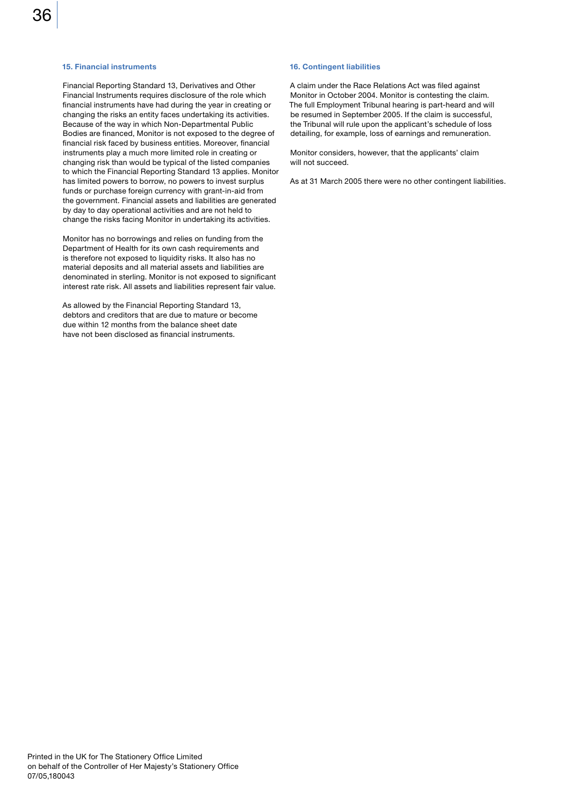#### **15. Financial instruments**

Financial Reporting Standard 13, Derivatives and Other Financial Instruments requires disclosure of the role which financial instruments have had during the year in creating or changing the risks an entity faces undertaking its activities. Because of the way in which Non-Departmental Public Bodies are financed, Monitor is not exposed to the degree of financial risk faced by business entities. Moreover, financial instruments play a much more limited role in creating or changing risk than would be typical of the listed companies to which the Financial Reporting Standard 13 applies. Monitor has limited powers to borrow, no powers to invest surplus funds or purchase foreign currency with grant-in-aid from the government. Financial assets and liabilities are generated by day to day operational activities and are not held to change the risks facing Monitor in undertaking its activities.

Monitor has no borrowings and relies on funding from the Department of Health for its own cash requirements and is therefore not exposed to liquidity risks. It also has no material deposits and all material assets and liabilities are denominated in sterling. Monitor is not exposed to significant interest rate risk. All assets and liabilities represent fair value.

As allowed by the Financial Reporting Standard 13, debtors and creditors that are due to mature or become due within 12 months from the balance sheet date have not been disclosed as financial instruments.

#### **16. Contingent liabilities**

A claim under the Race Relations Act was filed against Monitor in October 2004. Monitor is contesting the claim. The full Employment Tribunal hearing is part-heard and will be resumed in September 2005. If the claim is successful, the Tribunal will rule upon the applicant's schedule of loss detailing, for example, loss of earnings and remuneration.

Monitor considers, however, that the applicants' claim will not succeed.

As at 31 March 2005 there were no other contingent liabilities.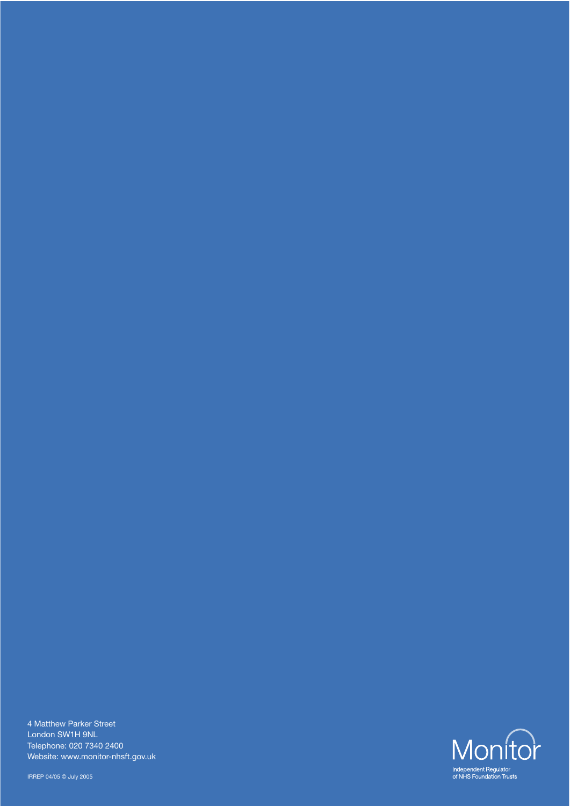4 Matthew Parker Street London SW1H 9NL Telephone: 020 7340 2400 Website: www.monitor-nhsft.gov.uk

IRREP 04/05 © July 2005